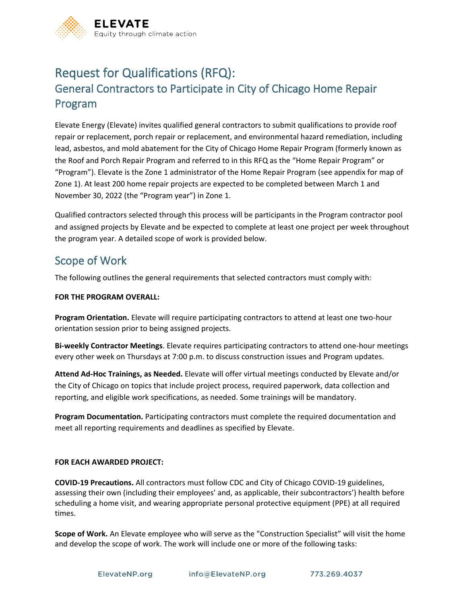

# Request for Qualifications (RFQ): General Contractors to Participate in City of Chicago Home Repair Program

Elevate Energy (Elevate) invites qualified general contractors to submit qualifications to provide roof repair or replacement, porch repair or replacement, and environmental hazard remediation, including lead, asbestos, and mold abatement for the City of Chicago Home Repair Program (formerly known as the Roof and Porch Repair Program and referred to in this RFQ as the "Home Repair Program" or "Program"). Elevate is the Zone 1 administrator of the Home Repair Program (see appendix for map of Zone 1). At least 200 home repair projects are expected to be completed between March 1 and November 30, 2022 (the "Program year") in Zone 1.

Qualified contractors selected through this process will be participants in the Program contractor pool and assigned projects by Elevate and be expected to complete at least one project per week throughout the program year. A detailed scope of work is provided below.

# Scope of Work

The following outlines the general requirements that selected contractors must comply with:

#### **FOR THE PROGRAM OVERALL:**

**Program Orientation.** Elevate will require participating contractors to attend at least one two-hour orientation session prior to being assigned projects.

**Bi-weekly Contractor Meetings**. Elevate requires participating contractors to attend one-hour meetings every other week on Thursdays at 7:00 p.m. to discuss construction issues and Program updates.

**Attend Ad-Hoc Trainings, as Needed.** Elevate will offer virtual meetings conducted by Elevate and/or the City of Chicago on topics that include project process, required paperwork, data collection and reporting, and eligible work specifications, as needed. Some trainings will be mandatory.

**Program Documentation.** Participating contractors must complete the required documentation and meet all reporting requirements and deadlines as specified by Elevate.

#### **FOR EACH AWARDED PROJECT:**

**COVID-19 Precautions.** All contractors must follow CDC and City of Chicago COVID-19 guidelines, assessing their own (including their employees' and, as applicable, their subcontractors') health before scheduling a home visit, and wearing appropriate personal protective equipment (PPE) at all required times.

**Scope of Work.** An Elevate employee who will serve as the "Construction Specialist" will visit the home and develop the scope of work. The work will include one or more of the following tasks: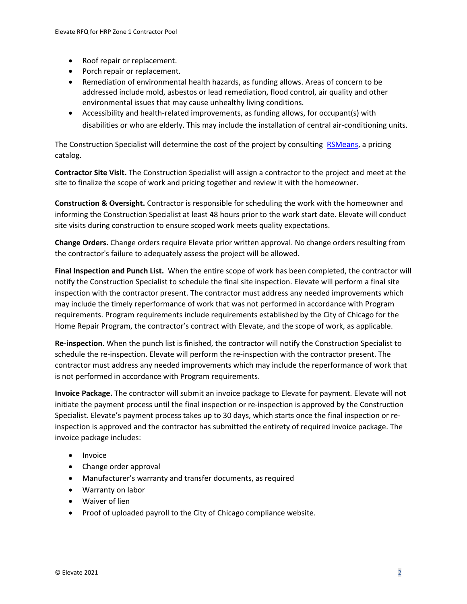- Roof repair or replacement.
- Porch repair or replacement.
- Remediation of environmental health hazards, as funding allows. Areas of concern to be addressed include mold, asbestos or lead remediation, flood control, air quality and other environmental issues that may cause unhealthy living conditions.
- Accessibility and health-related improvements, as funding allows, for occupant(s) with disabilities or who are elderly. This may include the installation of central air-conditioning units.

The Construction Specialist will determine the cost of the project by consulting [RSMeans,](https://www.rsmeansonline.com/) a pricing catalog.

**Contractor Site Visit.** The Construction Specialist will assign a contractor to the project and meet at the site to finalize the scope of work and pricing together and review it with the homeowner.

**Construction & Oversight.** Contractor is responsible for scheduling the work with the homeowner and informing the Construction Specialist at least 48 hours prior to the work start date. Elevate will conduct site visits during construction to ensure scoped work meets quality expectations.

**Change Orders.** Change orders require Elevate prior written approval. No change orders resulting from the contractor's failure to adequately assess the project will be allowed.

**Final Inspection and Punch List.** When the entire scope of work has been completed, the contractor will notify the Construction Specialist to schedule the final site inspection. Elevate will perform a final site inspection with the contractor present. The contractor must address any needed improvements which may include the timely reperformance of work that was not performed in accordance with Program requirements. Program requirements include requirements established by the City of Chicago for the Home Repair Program, the contractor's contract with Elevate, and the scope of work, as applicable.

**Re-inspection**. When the punch list is finished, the contractor will notify the Construction Specialist to schedule the re-inspection. Elevate will perform the re-inspection with the contractor present. The contractor must address any needed improvements which may include the reperformance of work that is not performed in accordance with Program requirements.

**Invoice Package.** The contractor will submit an invoice package to Elevate for payment. Elevate will not initiate the payment process until the final inspection or re-inspection is approved by the Construction Specialist. Elevate's payment process takes up to 30 days, which starts once the final inspection or reinspection is approved and the contractor has submitted the entirety of required invoice package. The invoice package includes:

- Invoice
- Change order approval
- Manufacturer's warranty and transfer documents, as required
- Warranty on labor
- Waiver of lien
- Proof of uploaded payroll to the City of Chicago compliance website.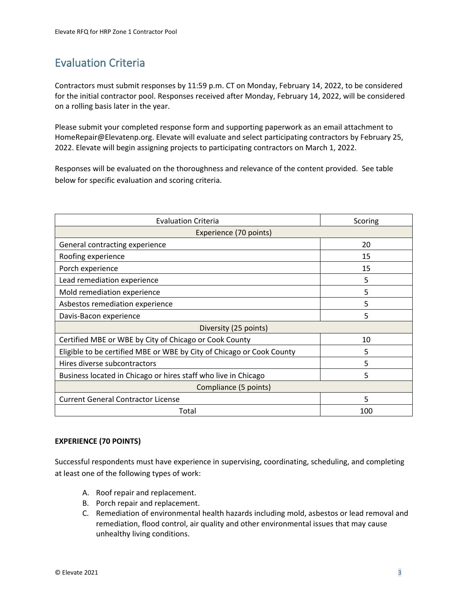# Evaluation Criteria

Contractors must submit responses by 11:59 p.m. CT on Monday, February 14, 2022, to be considered for the initial contractor pool. Responses received after Monday, February 14, 2022, will be considered on a rolling basis later in the year.

Please submit your completed response form and supporting paperwork as an email attachment to [HomeRepair@Elevatenp.org.](mailto:HomeRepair@Elevatenp.org) Elevate will evaluate and select participating contractors by February 25, 2022. Elevate will begin assigning projects to participating contractors on March 1, 2022.

Responses will be evaluated on the thoroughness and relevance of the content provided. See table below for specific evaluation and scoring criteria.

| <b>Evaluation Criteria</b>                                            | Scoring |  |  |
|-----------------------------------------------------------------------|---------|--|--|
| Experience (70 points)                                                |         |  |  |
| General contracting experience                                        | 20      |  |  |
| Roofing experience                                                    | 15      |  |  |
| Porch experience                                                      | 15      |  |  |
| Lead remediation experience                                           | 5       |  |  |
| Mold remediation experience                                           | 5       |  |  |
| Asbestos remediation experience                                       | 5       |  |  |
| Davis-Bacon experience                                                | 5       |  |  |
| Diversity (25 points)                                                 |         |  |  |
| Certified MBE or WBE by City of Chicago or Cook County                | 10      |  |  |
| Eligible to be certified MBE or WBE by City of Chicago or Cook County | 5       |  |  |
| Hires diverse subcontractors                                          | 5       |  |  |
| Business located in Chicago or hires staff who live in Chicago        | 5       |  |  |
| Compliance (5 points)                                                 |         |  |  |
| <b>Current General Contractor License</b>                             | 5       |  |  |
| Total                                                                 | 100     |  |  |

#### **EXPERIENCE (70 POINTS)**

Successful respondents must have experience in supervising, coordinating, scheduling, and completing at least one of the following types of work:

- A. Roof repair and replacement.
- B. Porch repair and replacement.
- C. Remediation of environmental health hazards including mold, asbestos or lead removal and remediation, flood control, air quality and other environmental issues that may cause unhealthy living conditions.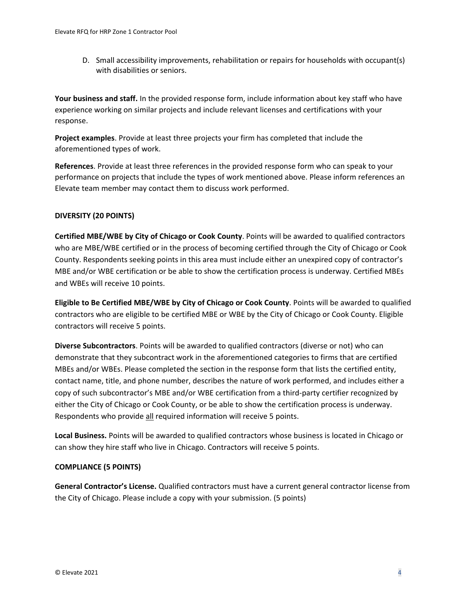D. Small accessibility improvements, rehabilitation or repairs for households with occupant(s) with disabilities or seniors.

**Your business and staff.** In the provided response form, include information about key staff who have experience working on similar projects and include relevant licenses and certifications with your response.

**Project examples**. Provide at least three projects your firm has completed that include the aforementioned types of work.

**References**. Provide at least three references in the provided response form who can speak to your performance on projects that include the types of work mentioned above. Please inform references an Elevate team member may contact them to discuss work performed.

#### **DIVERSITY (20 POINTS)**

**Certified MBE/WBE by City of Chicago or Cook County**. Points will be awarded to qualified contractors who are MBE/WBE certified or in the process of becoming certified through the City of Chicago or Cook County. Respondents seeking points in this area must include either an unexpired copy of contractor's MBE and/or WBE certification or be able to show the certification process is underway. Certified MBEs and WBEs will receive 10 points.

**Eligible to Be Certified MBE/WBE by City of Chicago or Cook County**. Points will be awarded to qualified contractors who are eligible to be certified MBE or WBE by the City of Chicago or Cook County. Eligible contractors will receive 5 points.

**Diverse Subcontractors**. Points will be awarded to qualified contractors (diverse or not) who can demonstrate that they subcontract work in the aforementioned categories to firms that are certified MBEs and/or WBEs. Please completed the section in the response form that lists the certified entity, contact name, title, and phone number, describes the nature of work performed, and includes either a copy of such subcontractor's MBE and/or WBE certification from a third-party certifier recognized by either the City of Chicago or Cook County, or be able to show the certification process is underway. Respondents who provide all required information will receive 5 points.

**Local Business.** Points will be awarded to qualified contractors whose business is located in Chicago or can show they hire staff who live in Chicago. Contractors will receive 5 points.

#### **COMPLIANCE (5 POINTS)**

**General Contractor's License.** Qualified contractors must have a current general contractor license from the City of Chicago. Please include a copy with your submission. (5 points)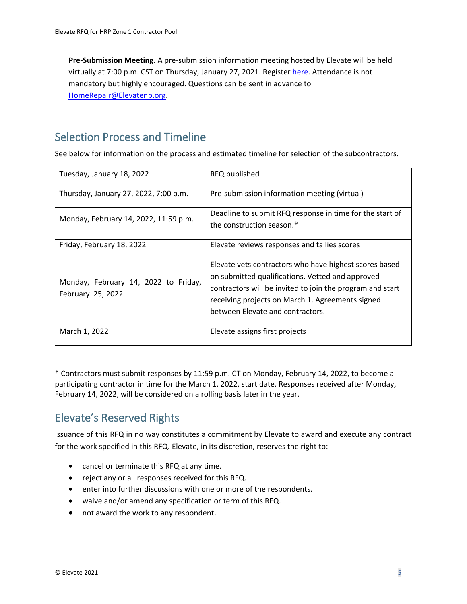**Pre-Submission Meeting**. A pre-submission information meeting hosted by Elevate will be held virtually at 7:00 p.m. CST on Thursday, January 27, 2021. Registe[r here.](https://us06web.zoom.us/meeting/register/tZAude-vrzgoGdCleA0g4w-b3jdFyX9zdmGd) Attendance is not mandatory but highly encouraged. Questions can be sent in advance to [HomeRepair@Elevatenp.org.](mailto:HomeRepair@Elevatenp.org)

# Selection Process and Timeline

See below for information on the process and estimated timeline for selection of the subcontractors.

| Tuesday, January 18, 2022                                 | RFQ published                                                                                                                                                                                                                                                   |
|-----------------------------------------------------------|-----------------------------------------------------------------------------------------------------------------------------------------------------------------------------------------------------------------------------------------------------------------|
| Thursday, January 27, 2022, 7:00 p.m.                     | Pre-submission information meeting (virtual)                                                                                                                                                                                                                    |
| Monday, February 14, 2022, 11:59 p.m.                     | Deadline to submit RFQ response in time for the start of<br>the construction season.*                                                                                                                                                                           |
| Friday, February 18, 2022                                 | Elevate reviews responses and tallies scores                                                                                                                                                                                                                    |
| Monday, February 14, 2022 to Friday,<br>February 25, 2022 | Elevate vets contractors who have highest scores based<br>on submitted qualifications. Vetted and approved<br>contractors will be invited to join the program and start<br>receiving projects on March 1. Agreements signed<br>between Elevate and contractors. |
| March 1, 2022                                             | Elevate assigns first projects                                                                                                                                                                                                                                  |

\* Contractors must submit responses by 11:59 p.m. CT on Monday, February 14, 2022, to become a participating contractor in time for the March 1, 2022, start date. Responses received after Monday, February 14, 2022, will be considered on a rolling basis later in the year.

# Elevate's Reserved Rights

Issuance of this RFQ in no way constitutes a commitment by Elevate to award and execute any contract for the work specified in this RFQ. Elevate, in its discretion, reserves the right to:

- cancel or terminate this RFQ at any time.
- reject any or all responses received for this RFQ.
- enter into further discussions with one or more of the respondents.
- waive and/or amend any specification or term of this RFQ.
- not award the work to any respondent.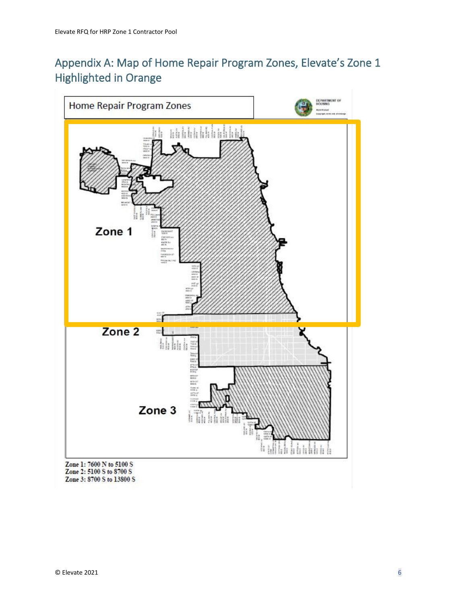# Appendix A: Map of Home Repair Program Zones, Elevate's Zone 1 Highlighted in Orange

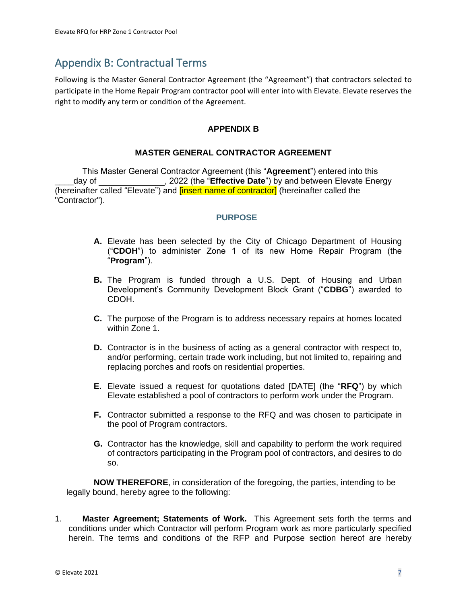# Appendix B: Contractual Terms

Following is the Master General Contractor Agreement (the "Agreement") that contractors selected to participate in the Home Repair Program contractor pool will enter into with Elevate. Elevate reserves the right to modify any term or condition of the Agreement.

### **APPENDIX B**

#### **MASTER GENERAL CONTRACTOR AGREEMENT**

This Master General Contractor Agreement (this "**Agreement**") entered into this \_\_\_\_day of , 2022 (the "**Effective Date**") by and between Elevate Energy (hereinafter called "Elevate") and **[insert name of contractor]** (hereinafter called the "Contractor").

#### **PURPOSE**

- **A.** Elevate has been selected by the City of Chicago Department of Housing ("**CDOH**") to administer Zone 1 of its new Home Repair Program (the "**Program**").
- **B.** The Program is funded through a U.S. Dept. of Housing and Urban Development's Community Development Block Grant ("**CDBG**") awarded to CDOH.
- **C.** The purpose of the Program is to address necessary repairs at homes located within Zone 1.
- **D.** Contractor is in the business of acting as a general contractor with respect to, and/or performing, certain trade work including, but not limited to, repairing and replacing porches and roofs on residential properties.
- **E.** Elevate issued a request for quotations dated [DATE] (the "**RFQ**") by which Elevate established a pool of contractors to perform work under the Program.
- **F.** Contractor submitted a response to the RFQ and was chosen to participate in the pool of Program contractors.
- **G.** Contractor has the knowledge, skill and capability to perform the work required of contractors participating in the Program pool of contractors, and desires to do so.

**NOW THEREFORE**, in consideration of the foregoing, the parties, intending to be legally bound, hereby agree to the following:

1. **Master Agreement; Statements of Work.** This Agreement sets forth the terms and conditions under which Contractor will perform Program work as more particularly specified herein. The terms and conditions of the RFP and Purpose section hereof are hereby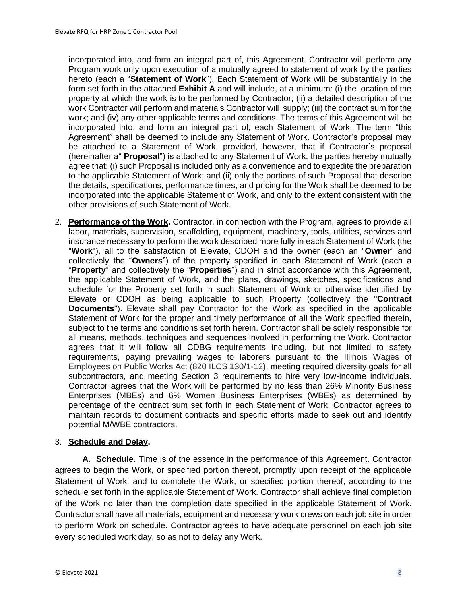incorporated into, and form an integral part of, this Agreement. Contractor will perform any Program work only upon execution of a mutually agreed to statement of work by the parties hereto (each a "**Statement of Work**"). Each Statement of Work will be substantially in the form set forth in the attached **Exhibit A** and will include, at a minimum: (i) the location of the property at which the work is to be performed by Contractor; (ii) a detailed description of the work Contractor will perform and materials Contractor will supply; (iii) the contract sum for the work; and (iv) any other applicable terms and conditions. The terms of this Agreement will be incorporated into, and form an integral part of, each Statement of Work. The term "this Agreement" shall be deemed to include any Statement of Work. Contractor's proposal may be attached to a Statement of Work, provided, however, that if Contractor's proposal (hereinafter a" **Proposal**") is attached to any Statement of Work, the parties hereby mutually agree that: (i) such Proposal is included only as a convenience and to expedite the preparation to the applicable Statement of Work; and (ii) only the portions of such Proposal that describe the details, specifications, performance times, and pricing for the Work shall be deemed to be incorporated into the applicable Statement of Work, and only to the extent consistent with the other provisions of such Statement of Work.

2. **Performance of the Work.** Contractor, in connection with the Program, agrees to provide all labor, materials, supervision, scaffolding, equipment, machinery, tools, utilities, services and insurance necessary to perform the work described more fully in each Statement of Work (the "**Work**"), all to the satisfaction of Elevate, CDOH and the owner (each an "**Owner**" and collectively the "**Owners**") of the property specified in each Statement of Work (each a "**Property**" and collectively the "**Properties**") and in strict accordance with this Agreement, the applicable Statement of Work, and the plans, drawings, sketches, specifications and schedule for the Property set forth in such Statement of Work or otherwise identified by Elevate or CDOH as being applicable to such Property (collectively the "**Contract Documents**"). Elevate shall pay Contractor for the Work as specified in the applicable Statement of Work for the proper and timely performance of all the Work specified therein, subject to the terms and conditions set forth herein. Contractor shall be solely responsible for all means, methods, techniques and sequences involved in performing the Work. Contractor agrees that it will follow all CDBG requirements including, but not limited to safety requirements, paying prevailing wages to laborers pursuant to the Illinois Wages of Employees on Public Works Act (820 ILCS 130/1-12), meeting required diversity goals for all subcontractors, and meeting Section 3 requirements to hire very low-income individuals. Contractor agrees that the Work will be performed by no less than 26% Minority Business Enterprises (MBEs) and 6% Women Business Enterprises (WBEs) as determined by percentage of the contract sum set forth in each Statement of Work. Contractor agrees to maintain records to document contracts and specific efforts made to seek out and identify potential M/WBE contractors.

# 3. **Schedule and Delay.**

**A. Schedule.** Time is of the essence in the performance of this Agreement. Contractor agrees to begin the Work, or specified portion thereof, promptly upon receipt of the applicable Statement of Work, and to complete the Work, or specified portion thereof, according to the schedule set forth in the applicable Statement of Work. Contractor shall achieve final completion of the Work no later than the completion date specified in the applicable Statement of Work. Contractor shall have all materials, equipment and necessary work crews on each job site in order to perform Work on schedule. Contractor agrees to have adequate personnel on each job site every scheduled work day, so as not to delay any Work.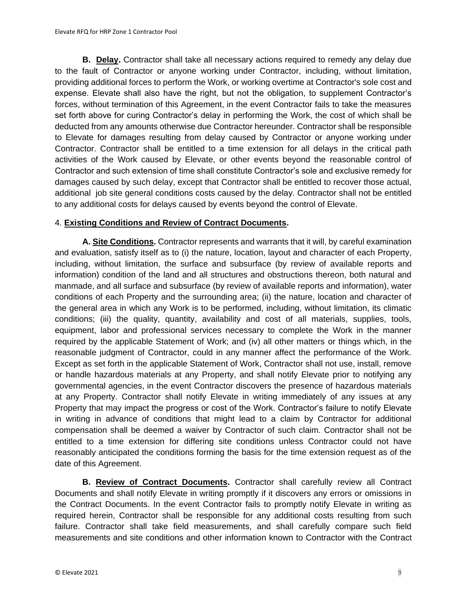**B. Delay.** Contractor shall take all necessary actions required to remedy any delay due to the fault of Contractor or anyone working under Contractor, including, without limitation, providing additional forces to perform the Work, or working overtime at Contractor's sole cost and expense. Elevate shall also have the right, but not the obligation, to supplement Contractor's forces, without termination of this Agreement, in the event Contractor fails to take the measures set forth above for curing Contractor's delay in performing the Work, the cost of which shall be deducted from any amounts otherwise due Contractor hereunder. Contractor shall be responsible to Elevate for damages resulting from delay caused by Contractor or anyone working under Contractor. Contractor shall be entitled to a time extension for all delays in the critical path activities of the Work caused by Elevate, or other events beyond the reasonable control of Contractor and such extension of time shall constitute Contractor's sole and exclusive remedy for damages caused by such delay, except that Contractor shall be entitled to recover those actual, additional job site general conditions costs caused by the delay. Contractor shall not be entitled to any additional costs for delays caused by events beyond the control of Elevate.

### 4. **Existing Conditions and Review of Contract Documents.**

**A. Site Conditions.** Contractor represents and warrants that it will, by careful examination and evaluation, satisfy itself as to (i) the nature, location, layout and character of each Property, including, without limitation, the surface and subsurface (by review of available reports and information) condition of the land and all structures and obstructions thereon, both natural and manmade, and all surface and subsurface (by review of available reports and information), water conditions of each Property and the surrounding area; (ii) the nature, location and character of the general area in which any Work is to be performed, including, without limitation, its climatic conditions; (iii) the quality, quantity, availability and cost of all materials, supplies, tools, equipment, labor and professional services necessary to complete the Work in the manner required by the applicable Statement of Work; and (iv) all other matters or things which, in the reasonable judgment of Contractor, could in any manner affect the performance of the Work. Except as set forth in the applicable Statement of Work, Contractor shall not use, install, remove or handle hazardous materials at any Property, and shall notify Elevate prior to notifying any governmental agencies, in the event Contractor discovers the presence of hazardous materials at any Property. Contractor shall notify Elevate in writing immediately of any issues at any Property that may impact the progress or cost of the Work. Contractor's failure to notify Elevate in writing in advance of conditions that might lead to a claim by Contractor for additional compensation shall be deemed a waiver by Contractor of such claim. Contractor shall not be entitled to a time extension for differing site conditions unless Contractor could not have reasonably anticipated the conditions forming the basis for the time extension request as of the date of this Agreement.

**B. Review of Contract Documents.** Contractor shall carefully review all Contract Documents and shall notify Elevate in writing promptly if it discovers any errors or omissions in the Contract Documents. In the event Contractor fails to promptly notify Elevate in writing as required herein, Contractor shall be responsible for any additional costs resulting from such failure. Contractor shall take field measurements, and shall carefully compare such field measurements and site conditions and other information known to Contractor with the Contract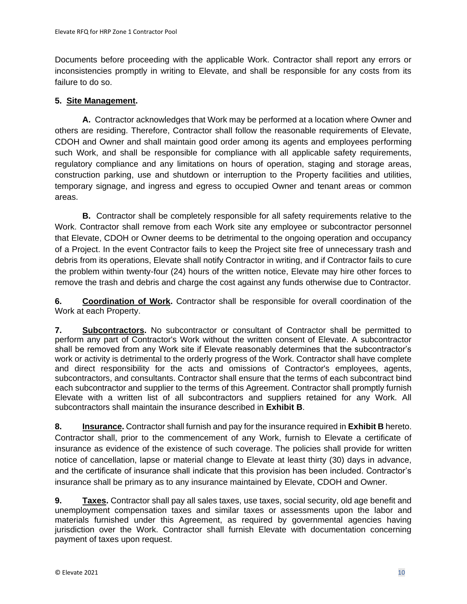Documents before proceeding with the applicable Work. Contractor shall report any errors or inconsistencies promptly in writing to Elevate, and shall be responsible for any costs from its failure to do so.

# **5. Site Management.**

**A.** Contractor acknowledges that Work may be performed at a location where Owner and others are residing. Therefore, Contractor shall follow the reasonable requirements of Elevate, CDOH and Owner and shall maintain good order among its agents and employees performing such Work, and shall be responsible for compliance with all applicable safety requirements, regulatory compliance and any limitations on hours of operation, staging and storage areas, construction parking, use and shutdown or interruption to the Property facilities and utilities, temporary signage, and ingress and egress to occupied Owner and tenant areas or common areas.

**B.** Contractor shall be completely responsible for all safety requirements relative to the Work. Contractor shall remove from each Work site any employee or subcontractor personnel that Elevate, CDOH or Owner deems to be detrimental to the ongoing operation and occupancy of a Project. In the event Contractor fails to keep the Project site free of unnecessary trash and debris from its operations, Elevate shall notify Contractor in writing, and if Contractor fails to cure the problem within twenty-four (24) hours of the written notice, Elevate may hire other forces to remove the trash and debris and charge the cost against any funds otherwise due to Contractor.

**6. Coordination of Work.** Contractor shall be responsible for overall coordination of the Work at each Property.

**7. Subcontractors.** No subcontractor or consultant of Contractor shall be permitted to perform any part of Contractor's Work without the written consent of Elevate. A subcontractor shall be removed from any Work site if Elevate reasonably determines that the subcontractor's work or activity is detrimental to the orderly progress of the Work. Contractor shall have complete and direct responsibility for the acts and omissions of Contractor's employees, agents, subcontractors, and consultants. Contractor shall ensure that the terms of each subcontract bind each subcontractor and supplier to the terms of this Agreement. Contractor shall promptly furnish Elevate with a written list of all subcontractors and suppliers retained for any Work. All subcontractors shall maintain the insurance described in **Exhibit B**.

**8. Insurance.** Contractor shall furnish and pay for the insurance required in **Exhibit B** hereto. Contractor shall, prior to the commencement of any Work, furnish to Elevate a certificate of insurance as evidence of the existence of such coverage. The policies shall provide for written notice of cancellation, lapse or material change to Elevate at least thirty (30) days in advance, and the certificate of insurance shall indicate that this provision has been included. Contractor's insurance shall be primary as to any insurance maintained by Elevate, CDOH and Owner.

**9. Taxes.** Contractor shall pay all sales taxes, use taxes, social security, old age benefit and unemployment compensation taxes and similar taxes or assessments upon the labor and materials furnished under this Agreement, as required by governmental agencies having jurisdiction over the Work. Contractor shall furnish Elevate with documentation concerning payment of taxes upon request.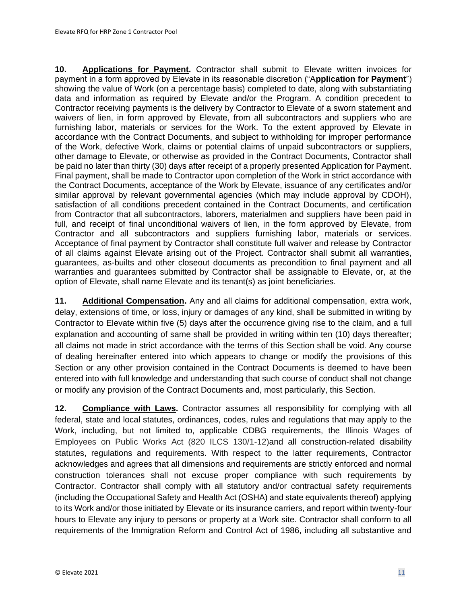**10. Applications for Payment.** Contractor shall submit to Elevate written invoices for payment in a form approved by Elevate in its reasonable discretion ("A**pplication for Payment**") showing the value of Work (on a percentage basis) completed to date, along with substantiating data and information as required by Elevate and/or the Program. A condition precedent to Contractor receiving payments is the delivery by Contractor to Elevate of a sworn statement and waivers of lien, in form approved by Elevate, from all subcontractors and suppliers who are furnishing labor, materials or services for the Work. To the extent approved by Elevate in accordance with the Contract Documents, and subject to withholding for improper performance of the Work, defective Work, claims or potential claims of unpaid subcontractors or suppliers, other damage to Elevate, or otherwise as provided in the Contract Documents, Contractor shall be paid no later than thirty (30) days after receipt of a properly presented Application for Payment. Final payment, shall be made to Contractor upon completion of the Work in strict accordance with the Contract Documents, acceptance of the Work by Elevate, issuance of any certificates and/or similar approval by relevant governmental agencies (which may include approval by CDOH), satisfaction of all conditions precedent contained in the Contract Documents, and certification from Contractor that all subcontractors, laborers, materialmen and suppliers have been paid in full, and receipt of final unconditional waivers of lien, in the form approved by Elevate, from Contractor and all subcontractors and suppliers furnishing labor, materials or services. Acceptance of final payment by Contractor shall constitute full waiver and release by Contractor of all claims against Elevate arising out of the Project. Contractor shall submit all warranties, guarantees, as-builts and other closeout documents as precondition to final payment and all warranties and guarantees submitted by Contractor shall be assignable to Elevate, or, at the option of Elevate, shall name Elevate and its tenant(s) as joint beneficiaries.

**11. Additional Compensation.** Any and all claims for additional compensation, extra work, delay, extensions of time, or loss, injury or damages of any kind, shall be submitted in writing by Contractor to Elevate within five (5) days after the occurrence giving rise to the claim, and a full explanation and accounting of same shall be provided in writing within ten (10) days thereafter; all claims not made in strict accordance with the terms of this Section shall be void. Any course of dealing hereinafter entered into which appears to change or modify the provisions of this Section or any other provision contained in the Contract Documents is deemed to have been entered into with full knowledge and understanding that such course of conduct shall not change or modify any provision of the Contract Documents and, most particularly, this Section.

**12. Compliance with Laws.** Contractor assumes all responsibility for complying with all federal, state and local statutes, ordinances, codes, rules and regulations that may apply to the Work, including, but not limited to, applicable CDBG requirements, the Illinois Wages of Employees on Public Works Act (820 ILCS 130/1-12)and all construction-related disability statutes, regulations and requirements. With respect to the latter requirements, Contractor acknowledges and agrees that all dimensions and requirements are strictly enforced and normal construction tolerances shall not excuse proper compliance with such requirements by Contractor. Contractor shall comply with all statutory and/or contractual safety requirements (including the Occupational Safety and Health Act (OSHA) and state equivalents thereof) applying to its Work and/or those initiated by Elevate or its insurance carriers, and report within twenty-four hours to Elevate any injury to persons or property at a Work site. Contractor shall conform to all requirements of the Immigration Reform and Control Act of 1986, including all substantive and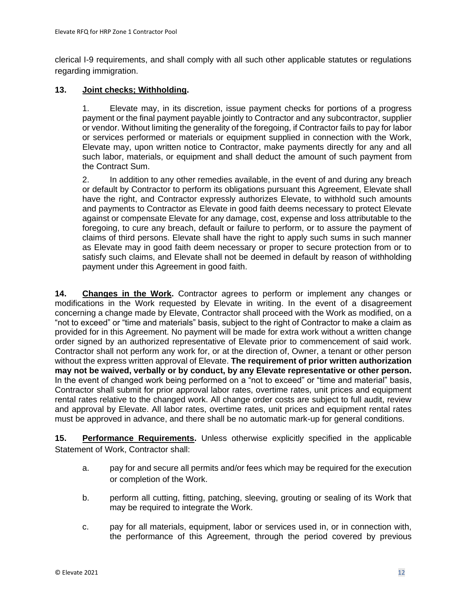clerical I-9 requirements, and shall comply with all such other applicable statutes or regulations regarding immigration.

### **13. Joint checks; Withholding.**

1. Elevate may, in its discretion, issue payment checks for portions of a progress payment or the final payment payable jointly to Contractor and any subcontractor, supplier or vendor. Without limiting the generality of the foregoing, if Contractor fails to pay for labor or services performed or materials or equipment supplied in connection with the Work, Elevate may, upon written notice to Contractor, make payments directly for any and all such labor, materials, or equipment and shall deduct the amount of such payment from the Contract Sum.

2. In addition to any other remedies available, in the event of and during any breach or default by Contractor to perform its obligations pursuant this Agreement, Elevate shall have the right, and Contractor expressly authorizes Elevate, to withhold such amounts and payments to Contractor as Elevate in good faith deems necessary to protect Elevate against or compensate Elevate for any damage, cost, expense and loss attributable to the foregoing, to cure any breach, default or failure to perform, or to assure the payment of claims of third persons. Elevate shall have the right to apply such sums in such manner as Elevate may in good faith deem necessary or proper to secure protection from or to satisfy such claims, and Elevate shall not be deemed in default by reason of withholding payment under this Agreement in good faith.

**14. Changes in the Work.** Contractor agrees to perform or implement any changes or modifications in the Work requested by Elevate in writing. In the event of a disagreement concerning a change made by Elevate, Contractor shall proceed with the Work as modified, on a "not to exceed" or "time and materials" basis, subject to the right of Contractor to make a claim as provided for in this Agreement. No payment will be made for extra work without a written change order signed by an authorized representative of Elevate prior to commencement of said work. Contractor shall not perform any work for, or at the direction of, Owner, a tenant or other person without the express written approval of Elevate. **The requirement of prior written authorization may not be waived, verbally or by conduct, by any Elevate representative or other person.**  In the event of changed work being performed on a "not to exceed" or "time and material" basis, Contractor shall submit for prior approval labor rates, overtime rates, unit prices and equipment rental rates relative to the changed work. All change order costs are subject to full audit, review and approval by Elevate. All labor rates, overtime rates, unit prices and equipment rental rates must be approved in advance, and there shall be no automatic mark-up for general conditions.

**15. Performance Requirements.** Unless otherwise explicitly specified in the applicable Statement of Work, Contractor shall:

- a. pay for and secure all permits and/or fees which may be required for the execution or completion of the Work.
- b. perform all cutting, fitting, patching, sleeving, grouting or sealing of its Work that may be required to integrate the Work.
- c. pay for all materials, equipment, labor or services used in, or in connection with, the performance of this Agreement, through the period covered by previous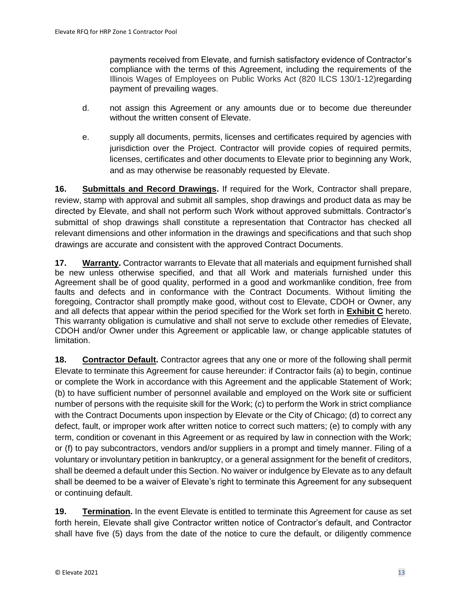payments received from Elevate, and furnish satisfactory evidence of Contractor's compliance with the terms of this Agreement, including the requirements of the Illinois Wages of Employees on Public Works Act (820 ILCS 130/1-12)regarding payment of prevailing wages.

- d. not assign this Agreement or any amounts due or to become due thereunder without the written consent of Elevate.
- e. supply all documents, permits, licenses and certificates required by agencies with jurisdiction over the Project. Contractor will provide copies of required permits, licenses, certificates and other documents to Elevate prior to beginning any Work, and as may otherwise be reasonably requested by Elevate.

**16. Submittals and Record Drawings.** If required for the Work, Contractor shall prepare, review, stamp with approval and submit all samples, shop drawings and product data as may be directed by Elevate, and shall not perform such Work without approved submittals. Contractor's submittal of shop drawings shall constitute a representation that Contractor has checked all relevant dimensions and other information in the drawings and specifications and that such shop drawings are accurate and consistent with the approved Contract Documents.

**17. Warranty.** Contractor warrants to Elevate that all materials and equipment furnished shall be new unless otherwise specified, and that all Work and materials furnished under this Agreement shall be of good quality, performed in a good and workmanlike condition, free from faults and defects and in conformance with the Contract Documents. Without limiting the foregoing, Contractor shall promptly make good, without cost to Elevate, CDOH or Owner, any and all defects that appear within the period specified for the Work set forth in **Exhibit C** hereto. This warranty obligation is cumulative and shall not serve to exclude other remedies of Elevate, CDOH and/or Owner under this Agreement or applicable law, or change applicable statutes of limitation.

**18. Contractor Default.** Contractor agrees that any one or more of the following shall permit Elevate to terminate this Agreement for cause hereunder: if Contractor fails (a) to begin, continue or complete the Work in accordance with this Agreement and the applicable Statement of Work; (b) to have sufficient number of personnel available and employed on the Work site or sufficient number of persons with the requisite skill for the Work; (c) to perform the Work in strict compliance with the Contract Documents upon inspection by Elevate or the City of Chicago; (d) to correct any defect, fault, or improper work after written notice to correct such matters; (e) to comply with any term, condition or covenant in this Agreement or as required by law in connection with the Work; or (f) to pay subcontractors, vendors and/or suppliers in a prompt and timely manner. Filing of a voluntary or involuntary petition in bankruptcy, or a general assignment for the benefit of creditors, shall be deemed a default under this Section. No waiver or indulgence by Elevate as to any default shall be deemed to be a waiver of Elevate's right to terminate this Agreement for any subsequent or continuing default.

**19. Termination.** In the event Elevate is entitled to terminate this Agreement for cause as set forth herein, Elevate shall give Contractor written notice of Contractor's default, and Contractor shall have five (5) days from the date of the notice to cure the default, or diligently commence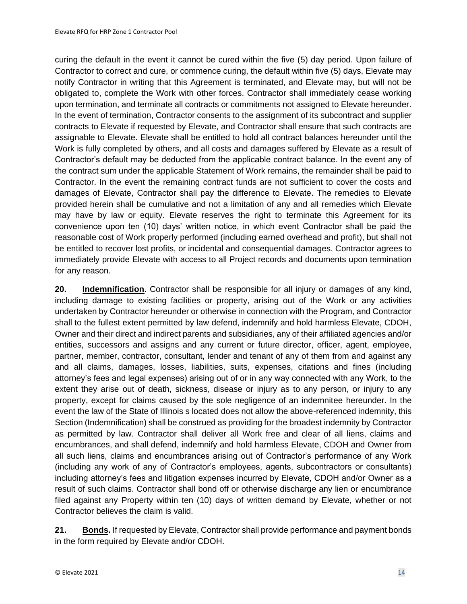curing the default in the event it cannot be cured within the five (5) day period. Upon failure of Contractor to correct and cure, or commence curing, the default within five (5) days, Elevate may notify Contractor in writing that this Agreement is terminated, and Elevate may, but will not be obligated to, complete the Work with other forces. Contractor shall immediately cease working upon termination, and terminate all contracts or commitments not assigned to Elevate hereunder. In the event of termination, Contractor consents to the assignment of its subcontract and supplier contracts to Elevate if requested by Elevate, and Contractor shall ensure that such contracts are assignable to Elevate. Elevate shall be entitled to hold all contract balances hereunder until the Work is fully completed by others, and all costs and damages suffered by Elevate as a result of Contractor's default may be deducted from the applicable contract balance. In the event any of the contract sum under the applicable Statement of Work remains, the remainder shall be paid to Contractor. In the event the remaining contract funds are not sufficient to cover the costs and damages of Elevate, Contractor shall pay the difference to Elevate. The remedies to Elevate provided herein shall be cumulative and not a limitation of any and all remedies which Elevate may have by law or equity. Elevate reserves the right to terminate this Agreement for its convenience upon ten (10) days' written notice, in which event Contractor shall be paid the reasonable cost of Work properly performed (including earned overhead and profit), but shall not be entitled to recover lost profits, or incidental and consequential damages. Contractor agrees to immediately provide Elevate with access to all Project records and documents upon termination for any reason.

**20. Indemnification.** Contractor shall be responsible for all injury or damages of any kind, including damage to existing facilities or property, arising out of the Work or any activities undertaken by Contractor hereunder or otherwise in connection with the Program, and Contractor shall to the fullest extent permitted by law defend, indemnify and hold harmless Elevate, CDOH, Owner and their direct and indirect parents and subsidiaries, any of their affiliated agencies and/or entities, successors and assigns and any current or future director, officer, agent, employee, partner, member, contractor, consultant, lender and tenant of any of them from and against any and all claims, damages, losses, liabilities, suits, expenses, citations and fines (including attorney's fees and legal expenses) arising out of or in any way connected with any Work, to the extent they arise out of death, sickness, disease or injury as to any person, or injury to any property, except for claims caused by the sole negligence of an indemnitee hereunder. In the event the law of the State of Illinois s located does not allow the above-referenced indemnity, this Section (Indemnification) shall be construed as providing for the broadest indemnity by Contractor as permitted by law. Contractor shall deliver all Work free and clear of all liens, claims and encumbrances, and shall defend, indemnify and hold harmless Elevate, CDOH and Owner from all such liens, claims and encumbrances arising out of Contractor's performance of any Work (including any work of any of Contractor's employees, agents, subcontractors or consultants) including attorney's fees and litigation expenses incurred by Elevate, CDOH and/or Owner as a result of such claims. Contractor shall bond off or otherwise discharge any lien or encumbrance filed against any Property within ten (10) days of written demand by Elevate, whether or not Contractor believes the claim is valid.

**21. Bonds.** If requested by Elevate, Contractor shall provide performance and payment bonds in the form required by Elevate and/or CDOH.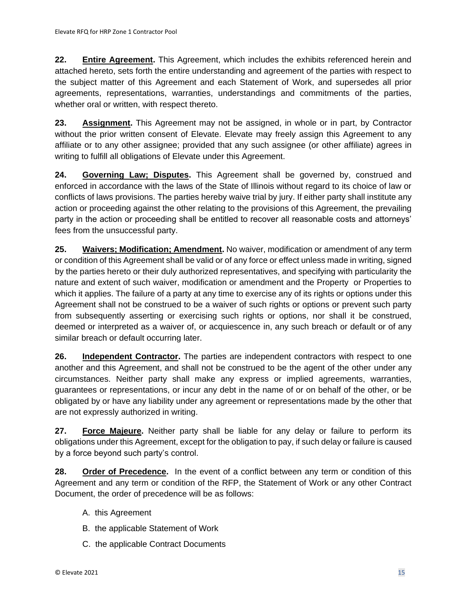**22. Entire Agreement.** This Agreement, which includes the exhibits referenced herein and attached hereto, sets forth the entire understanding and agreement of the parties with respect to the subject matter of this Agreement and each Statement of Work, and supersedes all prior agreements, representations, warranties, understandings and commitments of the parties, whether oral or written, with respect thereto.

**23. Assignment.** This Agreement may not be assigned, in whole or in part, by Contractor without the prior written consent of Elevate. Elevate may freely assign this Agreement to any affiliate or to any other assignee; provided that any such assignee (or other affiliate) agrees in writing to fulfill all obligations of Elevate under this Agreement.

**24. Governing Law; Disputes.** This Agreement shall be governed by, construed and enforced in accordance with the laws of the State of Illinois without regard to its choice of law or conflicts of laws provisions. The parties hereby waive trial by jury. If either party shall institute any action or proceeding against the other relating to the provisions of this Agreement, the prevailing party in the action or proceeding shall be entitled to recover all reasonable costs and attorneys' fees from the unsuccessful party.

**25. Waivers; Modification; Amendment.** No waiver, modification or amendment of any term or condition of this Agreement shall be valid or of any force or effect unless made in writing, signed by the parties hereto or their duly authorized representatives, and specifying with particularity the nature and extent of such waiver, modification or amendment and the Property or Properties to which it applies. The failure of a party at any time to exercise any of its rights or options under this Agreement shall not be construed to be a waiver of such rights or options or prevent such party from subsequently asserting or exercising such rights or options, nor shall it be construed, deemed or interpreted as a waiver of, or acquiescence in, any such breach or default or of any similar breach or default occurring later.

**26. Independent Contractor.** The parties are independent contractors with respect to one another and this Agreement, and shall not be construed to be the agent of the other under any circumstances. Neither party shall make any express or implied agreements, warranties, guarantees or representations, or incur any debt in the name of or on behalf of the other, or be obligated by or have any liability under any agreement or representations made by the other that are not expressly authorized in writing.

**27. Force Majeure.** Neither party shall be liable for any delay or failure to perform its obligations under this Agreement, except for the obligation to pay, if such delay or failure is caused by a force beyond such party's control.

**28. Order of Precedence.** In the event of a conflict between any term or condition of this Agreement and any term or condition of the RFP, the Statement of Work or any other Contract Document, the order of precedence will be as follows:

- A. this Agreement
- B. the applicable Statement of Work
- C. the applicable Contract Documents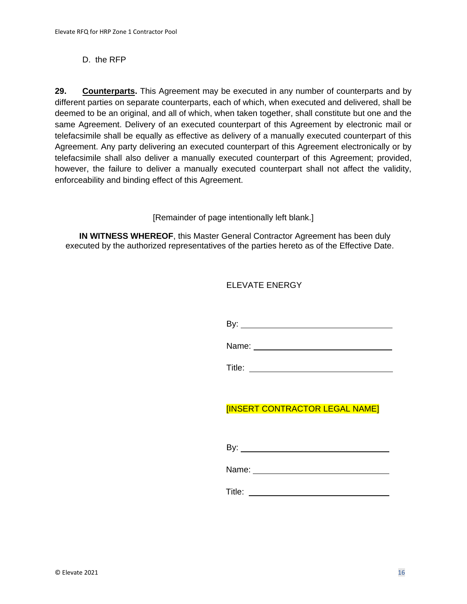D. the RFP

**29. Counterparts.** This Agreement may be executed in any number of counterparts and by different parties on separate counterparts, each of which, when executed and delivered, shall be deemed to be an original, and all of which, when taken together, shall constitute but one and the same Agreement. Delivery of an executed counterpart of this Agreement by electronic mail or telefacsimile shall be equally as effective as delivery of a manually executed counterpart of this Agreement. Any party delivering an executed counterpart of this Agreement electronically or by telefacsimile shall also deliver a manually executed counterpart of this Agreement; provided, however, the failure to deliver a manually executed counterpart shall not affect the validity, enforceability and binding effect of this Agreement.

[Remainder of page intentionally left blank.]

**IN WITNESS WHEREOF**, this Master General Contractor Agreement has been duly executed by the authorized representatives of the parties hereto as of the Effective Date.

### ELEVATE ENERGY

By:

Name: when the contract of the contract of the contract of the contract of the contract of the contract of the contract of the contract of the contract of the contract of the contract of the contract of the contract of the

Title: **The Community of the Community of the Community of the Community of the Community of the Community of the Community of the Community of the Community of the Community of the Community of the Community of the Commun** 

# [INSERT CONTRACTOR LEGAL NAME]

By:

Name:

Title: **The Community of the Community of the Community of the Community of the Community of the Community of the Community of the Community of the Community of the Community of the Community of the Community of the Commun**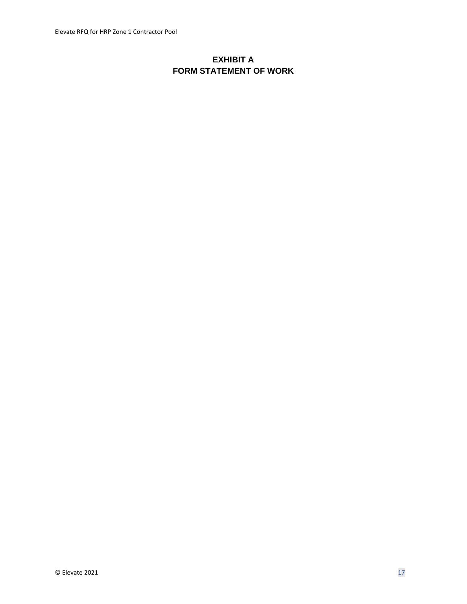# **EXHIBIT A FORM STATEMENT OF WORK**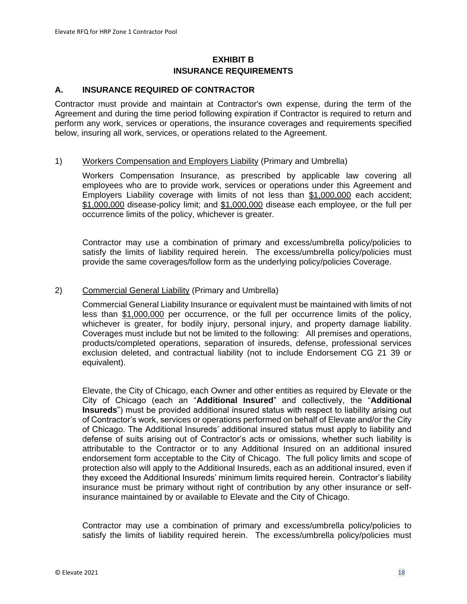#### **EXHIBIT B INSURANCE REQUIREMENTS**

#### **A. INSURANCE REQUIRED OF CONTRACTOR**

Contractor must provide and maintain at Contractor's own expense, during the term of the Agreement and during the time period following expiration if Contractor is required to return and perform any work, services or operations, the insurance coverages and requirements specified below, insuring all work, services, or operations related to the Agreement.

#### 1) Workers Compensation and Employers Liability (Primary and Umbrella)

Workers Compensation Insurance, as prescribed by applicable law covering all employees who are to provide work, services or operations under this Agreement and Employers Liability coverage with limits of not less than \$1,000,000 each accident; \$1,000,000 disease-policy limit; and \$1,000,000 disease each employee, or the full per occurrence limits of the policy, whichever is greater.

Contractor may use a combination of primary and excess/umbrella policy/policies to satisfy the limits of liability required herein. The excess/umbrella policy/policies must provide the same coverages/follow form as the underlying policy/policies Coverage.

#### 2) Commercial General Liability (Primary and Umbrella)

Commercial General Liability Insurance or equivalent must be maintained with limits of not less than \$1,000,000 per occurrence, or the full per occurrence limits of the policy, whichever is greater, for bodily injury, personal injury, and property damage liability. Coverages must include but not be limited to the following: All premises and operations, products/completed operations, separation of insureds, defense, professional services exclusion deleted, and contractual liability (not to include Endorsement CG 21 39 or equivalent).

Elevate, the City of Chicago, each Owner and other entities as required by Elevate or the City of Chicago (each an "**Additional Insured**" and collectively, the "**Additional Insureds**") must be provided additional insured status with respect to liability arising out of Contractor's work, services or operations performed on behalf of Elevate and/or the City of Chicago. The Additional Insureds' additional insured status must apply to liability and defense of suits arising out of Contractor's acts or omissions, whether such liability is attributable to the Contractor or to any Additional Insured on an additional insured endorsement form acceptable to the City of Chicago. The full policy limits and scope of protection also will apply to the Additional Insureds, each as an additional insured, even if they exceed the Additional Insureds' minimum limits required herein. Contractor's liability insurance must be primary without right of contribution by any other insurance or selfinsurance maintained by or available to Elevate and the City of Chicago.

Contractor may use a combination of primary and excess/umbrella policy/policies to satisfy the limits of liability required herein. The excess/umbrella policy/policies must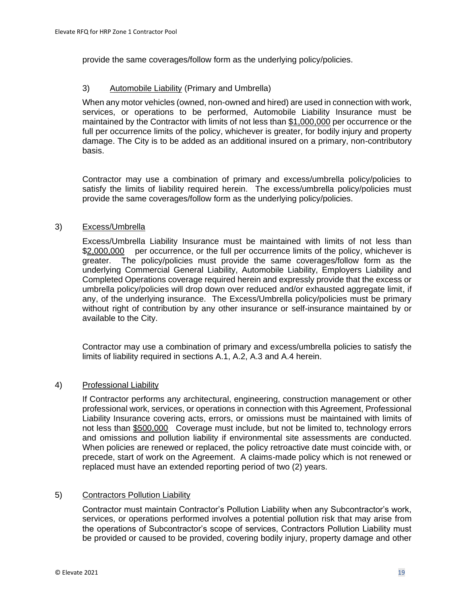provide the same coverages/follow form as the underlying policy/policies.

#### 3) Automobile Liability (Primary and Umbrella)

When any motor vehicles (owned, non-owned and hired) are used in connection with work, services, or operations to be performed, Automobile Liability Insurance must be maintained by the Contractor with limits of not less than \$1,000,000 per occurrence or the full per occurrence limits of the policy, whichever is greater, for bodily injury and property damage. The City is to be added as an additional insured on a primary, non-contributory basis.

Contractor may use a combination of primary and excess/umbrella policy/policies to satisfy the limits of liability required herein. The excess/umbrella policy/policies must provide the same coverages/follow form as the underlying policy/policies.

#### 3) Excess/Umbrella

Excess/Umbrella Liability Insurance must be maintained with limits of not less than \$2,000,000 per occurrence, or the full per occurrence limits of the policy, whichever is greater. The policy/policies must provide the same coverages/follow form as the underlying Commercial General Liability, Automobile Liability, Employers Liability and Completed Operations coverage required herein and expressly provide that the excess or umbrella policy/policies will drop down over reduced and/or exhausted aggregate limit, if any, of the underlying insurance. The Excess/Umbrella policy/policies must be primary without right of contribution by any other insurance or self-insurance maintained by or available to the City.

Contractor may use a combination of primary and excess/umbrella policies to satisfy the limits of liability required in sections A.1, A.2, A.3 and A.4 herein.

#### 4) Professional Liability

If Contractor performs any architectural, engineering, construction management or other professional work, services, or operations in connection with this Agreement, Professional Liability Insurance covering acts, errors, or omissions must be maintained with limits of not less than \$500,000 Coverage must include, but not be limited to, technology errors and omissions and pollution liability if environmental site assessments are conducted. When policies are renewed or replaced, the policy retroactive date must coincide with, or precede, start of work on the Agreement. A claims-made policy which is not renewed or replaced must have an extended reporting period of two (2) years.

#### 5) Contractors Pollution Liability

Contractor must maintain Contractor's Pollution Liability when any Subcontractor's work, services, or operations performed involves a potential pollution risk that may arise from the operations of Subcontractor's scope of services, Contractors Pollution Liability must be provided or caused to be provided, covering bodily injury, property damage and other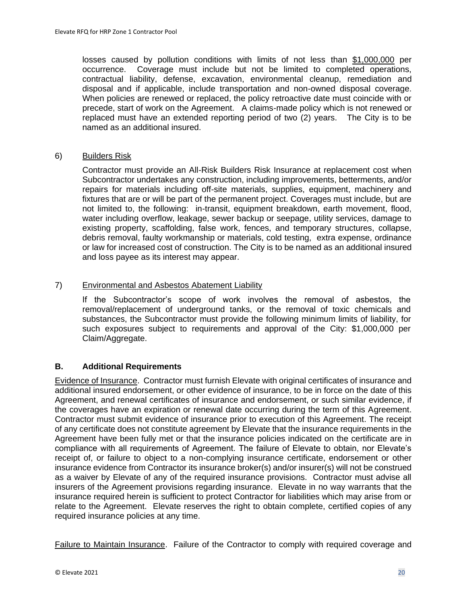losses caused by pollution conditions with limits of not less than \$1,000,000 per occurrence. Coverage must include but not be limited to completed operations, contractual liability, defense, excavation, environmental cleanup, remediation and disposal and if applicable, include transportation and non-owned disposal coverage. When policies are renewed or replaced, the policy retroactive date must coincide with or precede, start of work on the Agreement. A claims-made policy which is not renewed or replaced must have an extended reporting period of two (2) years. The City is to be named as an additional insured.

6) Builders Risk

Contractor must provide an All-Risk Builders Risk Insurance at replacement cost when Subcontractor undertakes any construction, including improvements, betterments, and/or repairs for materials including off-site materials, supplies, equipment, machinery and fixtures that are or will be part of the permanent project. Coverages must include, but are not limited to, the following: in-transit, equipment breakdown, earth movement, flood, water including overflow, leakage, sewer backup or seepage, utility services, damage to existing property, scaffolding, false work, fences, and temporary structures, collapse, debris removal, faulty workmanship or materials, cold testing, extra expense, ordinance or law for increased cost of construction. The City is to be named as an additional insured and loss payee as its interest may appear.

### 7) Environmental and Asbestos Abatement Liability

If the Subcontractor's scope of work involves the removal of asbestos, the removal/replacement of underground tanks, or the removal of toxic chemicals and substances, the Subcontractor must provide the following minimum limits of liability, for such exposures subject to requirements and approval of the City: \$1,000,000 per Claim/Aggregate.

#### **B. Additional Requirements**

Evidence of Insurance. Contractor must furnish Elevate with original certificates of insurance and additional insured endorsement, or other evidence of insurance, to be in force on the date of this Agreement, and renewal certificates of insurance and endorsement, or such similar evidence, if the coverages have an expiration or renewal date occurring during the term of this Agreement. Contractor must submit evidence of insurance prior to execution of this Agreement. The receipt of any certificate does not constitute agreement by Elevate that the insurance requirements in the Agreement have been fully met or that the insurance policies indicated on the certificate are in compliance with all requirements of Agreement. The failure of Elevate to obtain, nor Elevate's receipt of, or failure to object to a non-complying insurance certificate, endorsement or other insurance evidence from Contractor its insurance broker(s) and/or insurer(s) will not be construed as a waiver by Elevate of any of the required insurance provisions. Contractor must advise all insurers of the Agreement provisions regarding insurance. Elevate in no way warrants that the insurance required herein is sufficient to protect Contractor for liabilities which may arise from or relate to the Agreement. Elevate reserves the right to obtain complete, certified copies of any required insurance policies at any time.

Failure to Maintain Insurance. Failure of the Contractor to comply with required coverage and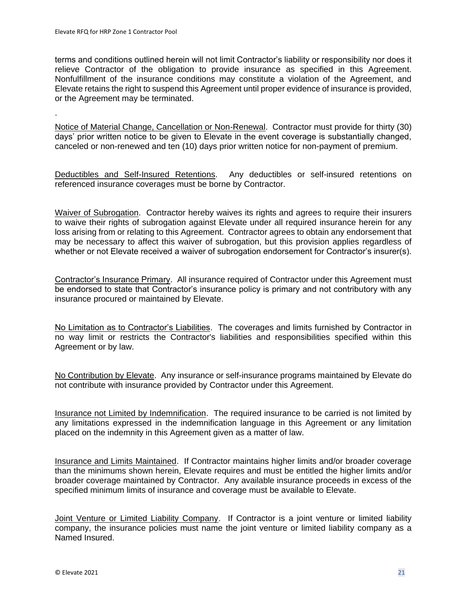.

terms and conditions outlined herein will not limit Contractor's liability or responsibility nor does it relieve Contractor of the obligation to provide insurance as specified in this Agreement. Nonfulfillment of the insurance conditions may constitute a violation of the Agreement, and Elevate retains the right to suspend this Agreement until proper evidence of insurance is provided, or the Agreement may be terminated.

Notice of Material Change, Cancellation or Non-Renewal. Contractor must provide for thirty (30) days' prior written notice to be given to Elevate in the event coverage is substantially changed, canceled or non-renewed and ten (10) days prior written notice for non-payment of premium.

Deductibles and Self-Insured Retentions. Any deductibles or self-insured retentions on referenced insurance coverages must be borne by Contractor.

Waiver of Subrogation. Contractor hereby waives its rights and agrees to require their insurers to waive their rights of subrogation against Elevate under all required insurance herein for any loss arising from or relating to this Agreement. Contractor agrees to obtain any endorsement that may be necessary to affect this waiver of subrogation, but this provision applies regardless of whether or not Elevate received a waiver of subrogation endorsement for Contractor's insurer(s).

Contractor's Insurance Primary. All insurance required of Contractor under this Agreement must be endorsed to state that Contractor's insurance policy is primary and not contributory with any insurance procured or maintained by Elevate.

No Limitation as to Contractor's Liabilities. The coverages and limits furnished by Contractor in no way limit or restricts the Contractor's liabilities and responsibilities specified within this Agreement or by law.

No Contribution by Elevate. Any insurance or self-insurance programs maintained by Elevate do not contribute with insurance provided by Contractor under this Agreement.

Insurance not Limited by Indemnification. The required insurance to be carried is not limited by any limitations expressed in the indemnification language in this Agreement or any limitation placed on the indemnity in this Agreement given as a matter of law.

Insurance and Limits Maintained. If Contractor maintains higher limits and/or broader coverage than the minimums shown herein, Elevate requires and must be entitled the higher limits and/or broader coverage maintained by Contractor. Any available insurance proceeds in excess of the specified minimum limits of insurance and coverage must be available to Elevate.

Joint Venture or Limited Liability Company. If Contractor is a joint venture or limited liability company, the insurance policies must name the joint venture or limited liability company as a Named Insured.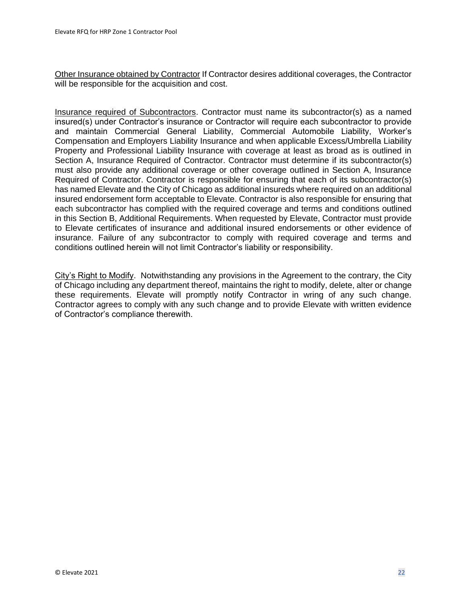Other Insurance obtained by Contractor If Contractor desires additional coverages, the Contractor will be responsible for the acquisition and cost.

Insurance required of Subcontractors. Contractor must name its subcontractor(s) as a named insured(s) under Contractor's insurance or Contractor will require each subcontractor to provide and maintain Commercial General Liability, Commercial Automobile Liability, Worker's Compensation and Employers Liability Insurance and when applicable Excess/Umbrella Liability Property and Professional Liability Insurance with coverage at least as broad as is outlined in Section A, Insurance Required of Contractor. Contractor must determine if its subcontractor(s) must also provide any additional coverage or other coverage outlined in Section A, Insurance Required of Contractor. Contractor is responsible for ensuring that each of its subcontractor(s) has named Elevate and the City of Chicago as additional insureds where required on an additional insured endorsement form acceptable to Elevate. Contractor is also responsible for ensuring that each subcontractor has complied with the required coverage and terms and conditions outlined in this Section B, Additional Requirements. When requested by Elevate, Contractor must provide to Elevate certificates of insurance and additional insured endorsements or other evidence of insurance. Failure of any subcontractor to comply with required coverage and terms and conditions outlined herein will not limit Contractor's liability or responsibility.

City's Right to Modify. Notwithstanding any provisions in the Agreement to the contrary, the City of Chicago including any department thereof, maintains the right to modify, delete, alter or change these requirements. Elevate will promptly notify Contractor in wring of any such change. Contractor agrees to comply with any such change and to provide Elevate with written evidence of Contractor's compliance therewith.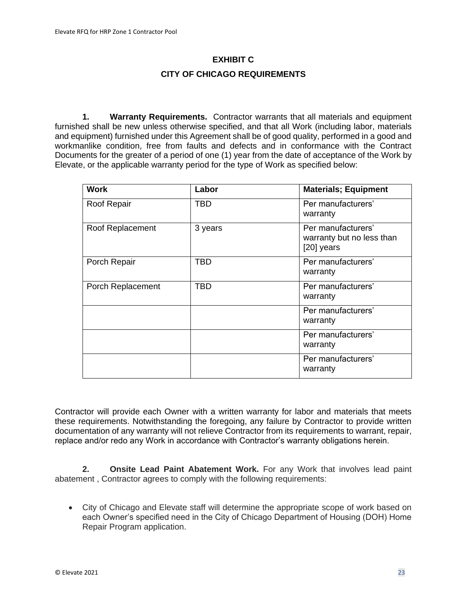# **EXHIBIT C**

#### **CITY OF CHICAGO REQUIREMENTS**

**1. Warranty Requirements.** Contractor warrants that all materials and equipment furnished shall be new unless otherwise specified, and that all Work (including labor, materials and equipment) furnished under this Agreement shall be of good quality, performed in a good and workmanlike condition, free from faults and defects and in conformance with the Contract Documents for the greater of a period of one (1) year from the date of acceptance of the Work by Elevate, or the applicable warranty period for the type of Work as specified below:

| <b>Work</b>       | Labor      | <b>Materials; Equipment</b>                                   |
|-------------------|------------|---------------------------------------------------------------|
| Roof Repair       | TBD        | Per manufacturers'<br>warranty                                |
| Roof Replacement  | 3 years    | Per manufacturers'<br>warranty but no less than<br>[20] years |
| Porch Repair      | <b>TBD</b> | Per manufacturers'<br>warranty                                |
| Porch Replacement | TBD        | Per manufacturers'<br>warranty                                |
|                   |            | Per manufacturers'<br>warranty                                |
|                   |            | Per manufacturers'<br>warranty                                |
|                   |            | Per manufacturers'<br>warranty                                |

Contractor will provide each Owner with a written warranty for labor and materials that meets these requirements. Notwithstanding the foregoing, any failure by Contractor to provide written documentation of any warranty will not relieve Contractor from its requirements to warrant, repair, replace and/or redo any Work in accordance with Contractor's warranty obligations herein.

**2. Onsite Lead Paint Abatement Work.** For any Work that involves lead paint abatement , Contractor agrees to comply with the following requirements:

• City of Chicago and Elevate staff will determine the appropriate scope of work based on each Owner's specified need in the City of Chicago Department of Housing (DOH) Home Repair Program application.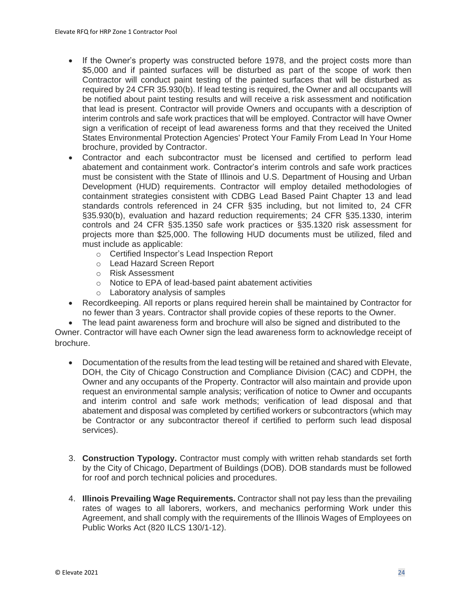- If the Owner's property was constructed before 1978, and the project costs more than \$5,000 and if painted surfaces will be disturbed as part of the scope of work then Contractor will conduct paint testing of the painted surfaces that will be disturbed as required by 24 CFR 35.930(b). If lead testing is required, the Owner and all occupants will be notified about paint testing results and will receive a risk assessment and notification that lead is present. Contractor will provide Owners and occupants with a description of interim controls and safe work practices that will be employed. Contractor will have Owner sign a verification of receipt of lead awareness forms and that they received the United States Environmental Protection Agencies' Protect Your Family From Lead In Your Home brochure, provided by Contractor.
- Contractor and each subcontractor must be licensed and certified to perform lead abatement and containment work. Contractor's interim controls and safe work practices must be consistent with the State of Illinois and U.S. Department of Housing and Urban Development (HUD) requirements. Contractor will employ detailed methodologies of containment strategies consistent with CDBG Lead Based Paint Chapter 13 and lead standards controls referenced in 24 CFR §35 including, but not limited to, 24 CFR §35.930(b), evaluation and hazard reduction requirements; 24 CFR §35.1330, interim controls and 24 CFR §35.1350 safe work practices or §35.1320 risk assessment for projects more than \$25,000. The following HUD documents must be utilized, filed and must include as applicable:
	- o Certified Inspector's Lead Inspection Report
	- o Lead Hazard Screen Report
	- o Risk Assessment
	- o Notice to EPA of lead-based paint abatement activities
	- o Laboratory analysis of samples
- Recordkeeping. All reports or plans required herein shall be maintained by Contractor for no fewer than 3 years. Contractor shall provide copies of these reports to the Owner.
- The lead paint awareness form and brochure will also be signed and distributed to the

Owner. Contractor will have each Owner sign the lead awareness form to acknowledge receipt of brochure.

- Documentation of the results from the lead testing will be retained and shared with Elevate, DOH, the City of Chicago Construction and Compliance Division (CAC) and CDPH, the Owner and any occupants of the Property. Contractor will also maintain and provide upon request an environmental sample analysis; verification of notice to Owner and occupants and interim control and safe work methods; verification of lead disposal and that abatement and disposal was completed by certified workers or subcontractors (which may be Contractor or any subcontractor thereof if certified to perform such lead disposal services).
- 3. **Construction Typology.** Contractor must comply with written rehab standards set forth by the City of Chicago, Department of Buildings (DOB). DOB standards must be followed for roof and porch technical policies and procedures.
- 4. **Illinois Prevailing Wage Requirements.** Contractor shall not pay less than the prevailing rates of wages to all laborers, workers, and mechanics performing Work under this Agreement, and shall comply with the requirements of the Illinois Wages of Employees on Public Works Act (820 ILCS 130/1-12).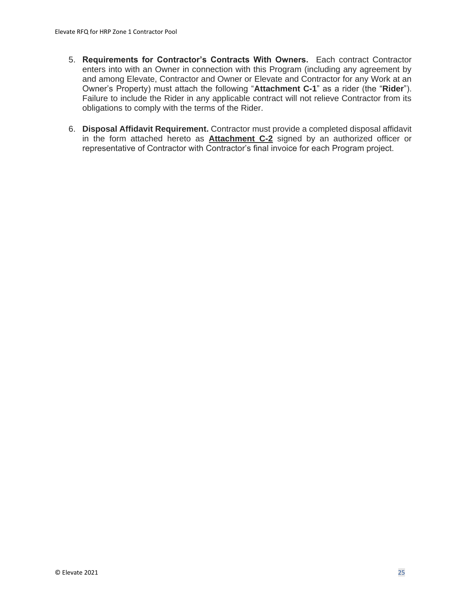- 5. **Requirements for Contractor's Contracts With Owners.** Each contract Contractor enters into with an Owner in connection with this Program (including any agreement by and among Elevate, Contractor and Owner or Elevate and Contractor for any Work at an Owner's Property) must attach the following "**Attachment C-1**" as a rider (the "**Rider**"). Failure to include the Rider in any applicable contract will not relieve Contractor from its obligations to comply with the terms of the Rider.
- 6. **Disposal Affidavit Requirement.** Contractor must provide a completed disposal affidavit in the form attached hereto as **Attachment C-2** signed by an authorized officer or representative of Contractor with Contractor's final invoice for each Program project.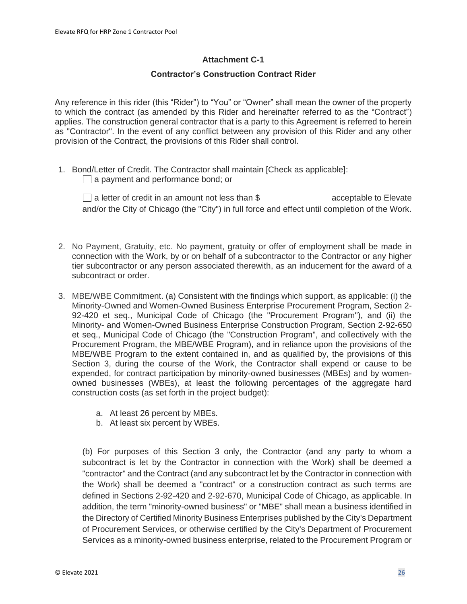### **Attachment C-1**

#### **Contractor's Construction Contract Rider**

Any reference in this rider (this "Rider") to "You" or "Owner" shall mean the owner of the property to which the contract (as amended by this Rider and hereinafter referred to as the "Contract") applies. The construction general contractor that is a party to this Agreement is referred to herein as "Contractor". In the event of any conflict between any provision of this Rider and any other provision of the Contract, the provisions of this Rider shall control.

1. Bond/Letter of Credit. The Contractor shall maintain [Check as applicable]:  $\Box$  a payment and performance bond; or

 $\Box$  a letter of credit in an amount not less than  $\frac{1}{2}$  acceptable to Elevate and/or the City of Chicago (the "City") in full force and effect until completion of the Work.

- 2. No Payment, Gratuity, etc. No payment, gratuity or offer of employment shall be made in connection with the Work, by or on behalf of a subcontractor to the Contractor or any higher tier subcontractor or any person associated therewith, as an inducement for the award of a subcontract or order.
- 3. MBE/WBE Commitment. (a) Consistent with the findings which support, as applicable: (i) the Minority-Owned and Women-Owned Business Enterprise Procurement Program, Section 2- 92-420 et seq., Municipal Code of Chicago (the "Procurement Program"), and (ii) the Minority- and Women-Owned Business Enterprise Construction Program, Section 2-92-650 et seq., Municipal Code of Chicago (the "Construction Program", and collectively with the Procurement Program, the MBE/WBE Program), and in reliance upon the provisions of the MBE/WBE Program to the extent contained in, and as qualified by, the provisions of this Section 3, during the course of the Work, the Contractor shall expend or cause to be expended, for contract participation by minority-owned businesses (MBEs) and by womenowned businesses (WBEs), at least the following percentages of the aggregate hard construction costs (as set forth in the project budget):
	- a. At least 26 percent by MBEs.
	- b. At least six percent by WBEs.

(b) For purposes of this Section 3 only, the Contractor (and any party to whom a subcontract is let by the Contractor in connection with the Work) shall be deemed a "contractor" and the Contract (and any subcontract let by the Contractor in connection with the Work) shall be deemed a "contract" or a construction contract as such terms are defined in Sections 2-92-420 and 2-92-670, Municipal Code of Chicago, as applicable. In addition, the term "minority-owned business" or "MBE" shall mean a business identified in the Directory of Certified Minority Business Enterprises published by the City's Department of Procurement Services, or otherwise certified by the City's Department of Procurement Services as a minority-owned business enterprise, related to the Procurement Program or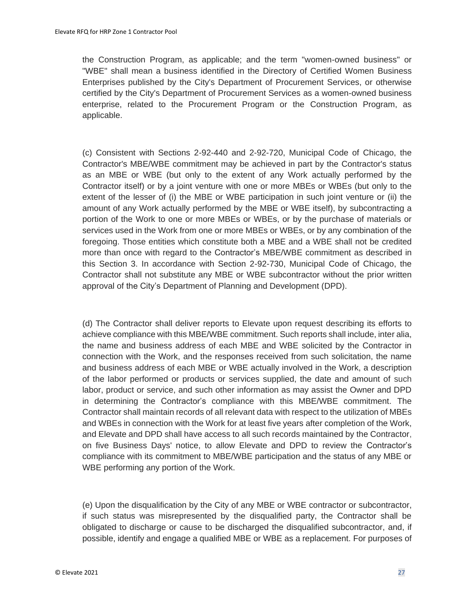the Construction Program, as applicable; and the term "women-owned business" or "WBE" shall mean a business identified in the Directory of Certified Women Business Enterprises published by the City's Department of Procurement Services, or otherwise certified by the City's Department of Procurement Services as a women-owned business enterprise, related to the Procurement Program or the Construction Program, as applicable.

(c) Consistent with Sections 2-92-440 and 2-92-720, Municipal Code of Chicago, the Contractor's MBE/WBE commitment may be achieved in part by the Contractor's status as an MBE or WBE (but only to the extent of any Work actually performed by the Contractor itself) or by a joint venture with one or more MBEs or WBEs (but only to the extent of the lesser of (i) the MBE or WBE participation in such joint venture or (ii) the amount of any Work actually performed by the MBE or WBE itself), by subcontracting a portion of the Work to one or more MBEs or WBEs, or by the purchase of materials or services used in the Work from one or more MBEs or WBEs, or by any combination of the foregoing. Those entities which constitute both a MBE and a WBE shall not be credited more than once with regard to the Contractor's MBE/WBE commitment as described in this Section 3. In accordance with Section 2-92-730, Municipal Code of Chicago, the Contractor shall not substitute any MBE or WBE subcontractor without the prior written approval of the City's Department of Planning and Development (DPD).

(d) The Contractor shall deliver reports to Elevate upon request describing its efforts to achieve compliance with this MBE/WBE commitment. Such reports shall include, inter alia, the name and business address of each MBE and WBE solicited by the Contractor in connection with the Work, and the responses received from such solicitation, the name and business address of each MBE or WBE actually involved in the Work, a description of the labor performed or products or services supplied, the date and amount of such labor, product or service, and such other information as may assist the Owner and DPD in determining the Contractor's compliance with this MBE/WBE commitment. The Contractor shall maintain records of all relevant data with respect to the utilization of MBEs and WBEs in connection with the Work for at least five years after completion of the Work, and Elevate and DPD shall have access to all such records maintained by the Contractor, on five Business Days' notice, to allow Elevate and DPD to review the Contractor's compliance with its commitment to MBE/WBE participation and the status of any MBE or WBE performing any portion of the Work.

(e) Upon the disqualification by the City of any MBE or WBE contractor or subcontractor, if such status was misrepresented by the disqualified party, the Contractor shall be obligated to discharge or cause to be discharged the disqualified subcontractor, and, if possible, identify and engage a qualified MBE or WBE as a replacement. For purposes of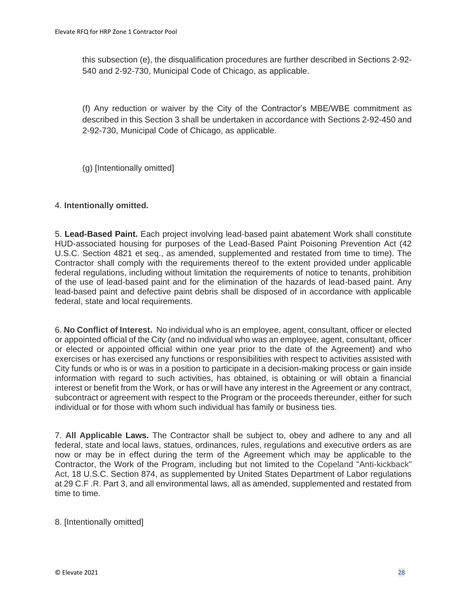this subsection (e), the disqualification procedures are further described in Sections 2-92- 540 and 2-92-730, Municipal Code of Chicago, as applicable.

(f) Any reduction or waiver by the City of the Contractor's MBE/WBE commitment as described in this Section 3 shall be undertaken in accordance with Sections 2-92-450 and 2-92-730, Municipal Code of Chicago, as applicable.

(g) [Intentionally omitted]

### 4. **Intentionally omitted.**

5. **Lead-Based Paint.** Each project involving lead-based paint abatement Work shall constitute HUD-associated housing for purposes of the Lead-Based Paint Poisoning Prevention Act (42 U.S.C. Section 4821 et seq., as amended, supplemented and restated from time to time). The Contractor shall comply with the requirements thereof to the extent provided under applicable federal regulations, including without limitation the requirements of notice to tenants, prohibition of the use of lead-based paint and for the elimination of the hazards of lead-based paint. Any lead-based paint and defective paint debris shall be disposed of in accordance with applicable federal, state and local requirements.

6. **No Conflict of Interest.** No individual who is an employee, agent, consultant, officer or elected or appointed official of the City (and no individual who was an employee, agent, consultant, officer or elected or appointed official within one year prior to the date of the Agreement) and who exercises or has exercised any functions or responsibilities with respect to activities assisted with City funds or who is or was in a position to participate in a decision-making process or gain inside information with regard to such activities, has obtained, is obtaining or will obtain a financial interest or benefit from the Work, or has or will have any interest in the Agreement or any contract, subcontract or agreement with respect to the Program or the proceeds thereunder, either for such individual or for those with whom such individual has family or business ties.

7. **All Applicable Laws.** The Contractor shall be subject to, obey and adhere to any and all federal, state and local laws, statues, ordinances, rules, regulations and executive orders as are now or may be in effect during the term of the Agreement which may be applicable to the Contractor, the Work of the Program, including but not limited to the Copeland "Anti-kickback" Act, 18 U.S.C. Section 874, as supplemented by United States Department of Labor regulations at 29 C.F .R. Part 3, and all environmental laws, all as amended, supplemented and restated from time to time.

#### 8. [Intentionally omitted]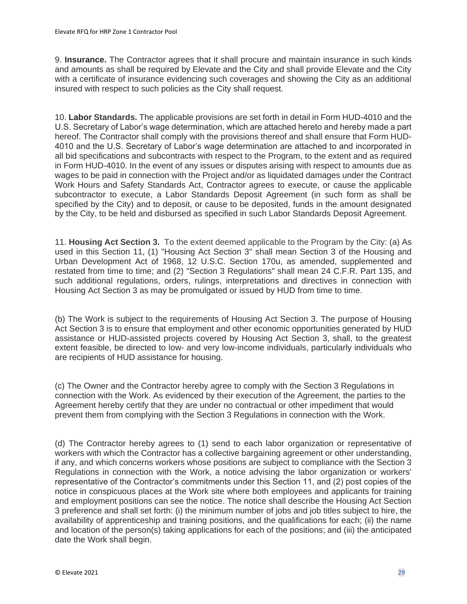9. **Insurance.** The Contractor agrees that it shall procure and maintain insurance in such kinds and amounts as shall be required by Elevate and the City and shall provide Elevate and the City with a certificate of insurance evidencing such coverages and showing the City as an additional insured with respect to such policies as the City shall request.

10. **Labor Standards.** The applicable provisions are set forth in detail in Form HUD-4010 and the U.S. Secretary of Labor's wage determination, which are attached hereto and hereby made a part hereof. The Contractor shall comply with the provisions thereof and shall ensure that Form HUD-4010 and the U.S. Secretary of Labor's wage determination are attached to and incorporated in all bid specifications and subcontracts with respect to the Program, to the extent and as required in Form HUD-4010. In the event of any issues or disputes arising with respect to amounts due as wages to be paid in connection with the Project and/or as liquidated damages under the Contract Work Hours and Safety Standards Act, Contractor agrees to execute, or cause the applicable subcontractor to execute, a Labor Standards Deposit Agreement (in such form as shall be specified by the City) and to deposit, or cause to be deposited, funds in the amount designated by the City, to be held and disbursed as specified in such Labor Standards Deposit Agreement.

11. **Housing Act Section 3.** To the extent deemed applicable to the Program by the City: (a) As used in this Section 11, (1) "Housing Act Section 3" shall mean Section 3 of the Housing and Urban Development Act of 1968, 12 U.S.C. Section 170u, as amended, supplemented and restated from time to time; and (2) "Section 3 Regulations" shall mean 24 C.F.R. Part 135, and such additional regulations, orders, rulings, interpretations and directives in connection with Housing Act Section 3 as may be promulgated or issued by HUD from time to time.

(b) The Work is subject to the requirements of Housing Act Section 3. The purpose of Housing Act Section 3 is to ensure that employment and other economic opportunities generated by HUD assistance or HUD-assisted projects covered by Housing Act Section 3, shall, to the greatest extent feasible, be directed to low- and very low-income individuals, particularly individuals who are recipients of HUD assistance for housing.

(c) The Owner and the Contractor hereby agree to comply with the Section 3 Regulations in connection with the Work. As evidenced by their execution of the Agreement, the parties to the Agreement hereby certify that they are under no contractual or other impediment that would prevent them from complying with the Section 3 Regulations in connection with the Work.

(d) The Contractor hereby agrees to (1) send to each labor organization or representative of workers with which the Contractor has a collective bargaining agreement or other understanding, if any, and which concerns workers whose positions are subject to compliance with the Section 3 Regulations in connection with the Work, a notice advising the labor organization or workers' representative of the Contractor's commitments under this Section 11, and (2) post copies of the notice in conspicuous places at the Work site where both employees and applicants for training and employment positions can see the notice. The notice shall describe the Housing Act Section 3 preference and shall set forth: (i) the minimum number of jobs and job titles subject to hire, the availability of apprenticeship and training positions, and the qualifications for each; (ii) the name and location of the person(s) taking applications for each of the positions; and (iii) the anticipated date the Work shall begin.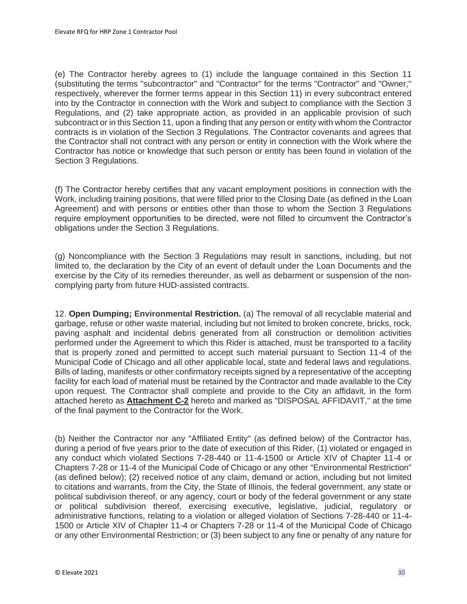(e) The Contractor hereby agrees to (1) include the language contained in this Section 11 (substituting the terms "subcontractor" and "Contractor" for the terms "Contractor" and "Owner," respectively, wherever the former terms appear in this Section 11) in every subcontract entered into by the Contractor in connection with the Work and subject to compliance with the Section 3 Regulations, and (2) take appropriate action, as provided in an applicable provision of such subcontract or in this Section 11, upon a finding that any person or entity with whom the Contractor contracts is in violation of the Section 3 Regulations. The Contractor covenants and agrees that the Contractor shall not contract with any person or entity in connection with the Work where the Contractor has notice or knowledge that such person or entity has been found in violation of the Section 3 Regulations.

(f) The Contractor hereby certifies that any vacant employment positions in connection with the Work, including training positions, that were filled prior to the Closing Date (as defined in the Loan Agreement) and with persons or entities other than those to whom the Section 3 Regulations require employment opportunities to be directed, were not filled to circumvent the Contractor's obligations under the Section 3 Regulations.

(g) Noncompliance with the Section 3 Regulations may result in sanctions, including, but not limited to, the declaration by the City of an event of default under the Loan Documents and the exercise by the City of its remedies thereunder, as well as debarment or suspension of the noncomplying party from future HUD-assisted contracts.

12. **Open Dumping; Environmental Restriction.** (a) The removal of all recyclable material and garbage, refuse or other waste material, including but not limited to broken concrete, bricks, rock, paving asphalt and incidental debris generated from all construction or demolition activities performed under the Agreement to which this Rider is attached, must be transported to a facility that is properly zoned and permitted to accept such material pursuant to Section 11-4 of the Municipal Code of Chicago and all other applicable local, state and federal laws and regulations. Bills of lading, manifests or other confirmatory receipts signed by a representative of the accepting facility for each load of material must be retained by the Contractor and made available to the City upon request. The Contractor shall complete and provide to the City an affidavit, in the form attached hereto as **Attachment C-2** hereto and marked as "DISPOSAL AFFIDAVIT," at the time of the final payment to the Contractor for the Work.

(b) Neither the Contractor nor any "Affiliated Entity" (as defined below) of the Contractor has, during a period of five years prior to the date of execution of this Rider, (1) violated or engaged in any conduct which violated Sections 7-28-440 or 11-4-1500 or Article XIV of Chapter 11-4 or Chapters 7-28 or 11-4 of the Municipal Code of Chicago or any other "Environmental Restriction" (as defined below); (2) received notice of any claim, demand or action, including but not limited to citations and warrants, from the City, the State of Illinois, the federal government, any state or political subdivision thereof, or any agency, court or body of the federal government or any state or political subdivision thereof, exercising executive, legislative, judicial, regulatory or administrative functions, relating to a violation or alleged violation of Sections 7-28-440 or 11-4- 1500 or Article XIV of Chapter 11-4 or Chapters 7-28 or 11-4 of the Municipal Code of Chicago or any other Environmental Restriction; or (3) been subject to any fine or penalty of any nature for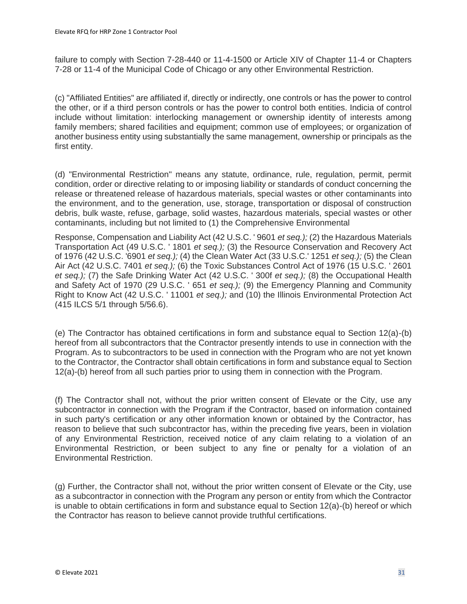failure to comply with Section 7-28-440 or 11-4-1500 or Article XIV of Chapter 11-4 or Chapters 7-28 or 11-4 of the Municipal Code of Chicago or any other Environmental Restriction.

(c) "Affiliated Entities" are affiliated if, directly or indirectly, one controls or has the power to control the other, or if a third person controls or has the power to control both entities. Indicia of control include without limitation: interlocking management or ownership identity of interests among family members; shared facilities and equipment; common use of employees; or organization of another business entity using substantially the same management, ownership or principals as the first entity.

(d) "Environmental Restriction" means any statute, ordinance, rule, regulation, permit, permit condition, order or directive relating to or imposing liability or standards of conduct concerning the release or threatened release of hazardous materials, special wastes or other contaminants into the environment, and to the generation, use, storage, transportation or disposal of construction debris, bulk waste, refuse, garbage, solid wastes, hazardous materials, special wastes or other contaminants, including but not limited to (1) the Comprehensive Environmental

Response, Compensation and Liability Act (42 U.S.C. ' 9601 *et seq.);* (2) the Hazardous Materials Transportation Act (49 U.S.C. ' 1801 *et seq.);* (3) the Resource Conservation and Recovery Act of 1976 (42 U.S.C. '6901 *et seq.);* (4) the Clean Water Act (33 U.S.C.' 1251 *et seq.);* (5) the Clean Air Act (42 U.S.C. 7401 *et seq.);* (6) the Toxic Substances Control Act of 1976 (15 U.S.C. ' 2601 *et seq.);* (7) the Safe Drinking Water Act (42 U.S.C. ' 300f *et seq.);* (8) the Occupational Health and Safety Act of 1970 (29 U.S.C. ' 651 *et seq.);* (9) the Emergency Planning and Community Right to Know Act (42 U.S.C. ' 11001 *et seq.);* and (10) the Illinois Environmental Protection Act (415 ILCS 5/1 through 5/56.6).

(e) The Contractor has obtained certifications in form and substance equal to Section 12(a)-(b) hereof from all subcontractors that the Contractor presently intends to use in connection with the Program. As to subcontractors to be used in connection with the Program who are not yet known to the Contractor, the Contractor shall obtain certifications in form and substance equal to Section 12(a)-(b) hereof from all such parties prior to using them in connection with the Program.

(f) The Contractor shall not, without the prior written consent of Elevate or the City, use any subcontractor in connection with the Program if the Contractor, based on information contained in such party's certification or any other information known or obtained by the Contractor, has reason to believe that such subcontractor has, within the preceding five years, been in violation of any Environmental Restriction, received notice of any claim relating to a violation of an Environmental Restriction, or been subject to any fine or penalty for a violation of an Environmental Restriction.

(g) Further, the Contractor shall not, without the prior written consent of Elevate or the City, use as a subcontractor in connection with the Program any person or entity from which the Contractor is unable to obtain certifications in form and substance equal to Section 12(a)-(b) hereof or which the Contractor has reason to believe cannot provide truthful certifications.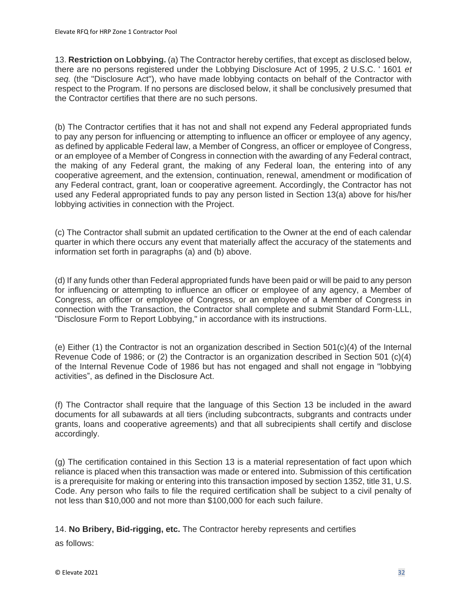13. **Restriction on Lobbying.** (a) The Contractor hereby certifies, that except as disclosed below, there are no persons registered under the Lobbying Disclosure Act of 1995, 2 U.S.C. ' 1601 *et seq.* (the "Disclosure Act"), who have made lobbying contacts on behalf of the Contractor with respect to the Program. If no persons are disclosed below, it shall be conclusively presumed that the Contractor certifies that there are no such persons.

(b) The Contractor certifies that it has not and shall not expend any Federal appropriated funds to pay any person for influencing or attempting to influence an officer or employee of any agency, as defined by applicable Federal law, a Member of Congress, an officer or employee of Congress, or an employee of a Member of Congress in connection with the awarding of any Federal contract, the making of any Federal grant, the making of any Federal loan, the entering into of any cooperative agreement, and the extension, continuation, renewal, amendment or modification of any Federal contract, grant, loan or cooperative agreement. Accordingly, the Contractor has not used any Federal appropriated funds to pay any person listed in Section 13(a) above for his/her lobbying activities in connection with the Project.

(c) The Contractor shall submit an updated certification to the Owner at the end of each calendar quarter in which there occurs any event that materially affect the accuracy of the statements and information set forth in paragraphs (a) and (b) above.

(d) If any funds other than Federal appropriated funds have been paid or will be paid to any person for influencing or attempting to influence an officer or employee of any agency, a Member of Congress, an officer or employee of Congress, or an employee of a Member of Congress in connection with the Transaction, the Contractor shall complete and submit Standard Form-LLL, "Disclosure Form to Report Lobbying," in accordance with its instructions.

(e) Either (1) the Contractor is not an organization described in Section  $501(c)(4)$  of the Internal Revenue Code of 1986; or (2) the Contractor is an organization described in Section 501 (c)(4) of the Internal Revenue Code of 1986 but has not engaged and shall not engage in "lobbying activities", as defined in the Disclosure Act.

(f) The Contractor shall require that the language of this Section 13 be included in the award documents for all subawards at all tiers (including subcontracts, subgrants and contracts under grants, loans and cooperative agreements) and that all subrecipients shall certify and disclose accordingly.

(g) The certification contained in this Section 13 is a material representation of fact upon which reliance is placed when this transaction was made or entered into. Submission of this certification is a prerequisite for making or entering into this transaction imposed by section 1352, title 31, U.S. Code. Any person who fails to file the required certification shall be subject to a civil penalty of not less than \$10,000 and not more than \$100,000 for each such failure.

14. **No Bribery, Bid-rigging, etc.** The Contractor hereby represents and certifies

as follows: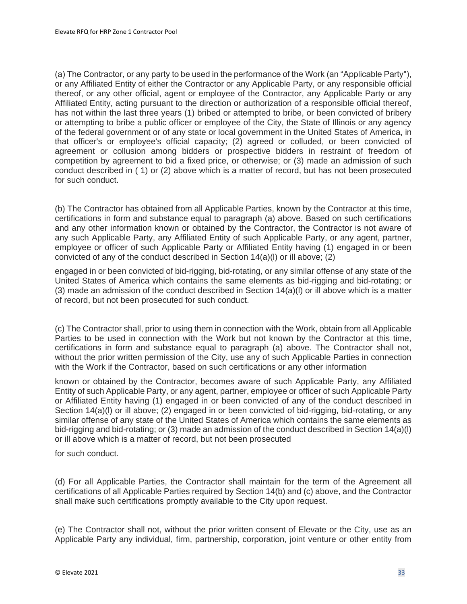(a) The Contractor, or any party to be used in the performance of the Work (an "Applicable Party"), or any Affiliated Entity of either the Contractor or any Applicable Party, or any responsible official thereof, or any other official, agent or employee of the Contractor, any Applicable Party or any Affiliated Entity, acting pursuant to the direction or authorization of a responsible official thereof, has not within the last three years (1) bribed or attempted to bribe, or been convicted of bribery or attempting to bribe a public officer or employee of the City, the State of Illinois or any agency of the federal government or of any state or local government in the United States of America, in that officer's or employee's official capacity; (2) agreed or colluded, or been convicted of agreement or collusion among bidders or prospective bidders in restraint of freedom of competition by agreement to bid a fixed price, or otherwise; or (3) made an admission of such conduct described in ( 1) or (2) above which is a matter of record, but has not been prosecuted for such conduct.

(b) The Contractor has obtained from all Applicable Parties, known by the Contractor at this time, certifications in form and substance equal to paragraph (a) above. Based on such certifications and any other information known or obtained by the Contractor, the Contractor is not aware of any such Applicable Party, any Affiliated Entity of such Applicable Party, or any agent, partner, employee or officer of such Applicable Party or Affiliated Entity having (1) engaged in or been convicted of any of the conduct described in Section 14(a)(l) or ill above; (2)

engaged in or been convicted of bid-rigging, bid-rotating, or any similar offense of any state of the United States of America which contains the same elements as bid-rigging and bid-rotating; or (3) made an admission of the conduct described in Section 14(a)(l) or ill above which is a matter of record, but not been prosecuted for such conduct.

(c) The Contractor shall, prior to using them in connection with the Work, obtain from all Applicable Parties to be used in connection with the Work but not known by the Contractor at this time, certifications in form and substance equal to paragraph (a) above. The Contractor shall not, without the prior written permission of the City, use any of such Applicable Parties in connection with the Work if the Contractor, based on such certifications or any other information

known or obtained by the Contractor, becomes aware of such Applicable Party, any Affiliated Entity of such Applicable Party, or any agent, partner, employee or officer of such Applicable Party or Affiliated Entity having (1) engaged in or been convicted of any of the conduct described in Section 14(a)(I) or ill above; (2) engaged in or been convicted of bid-rigging, bid-rotating, or any similar offense of any state of the United States of America which contains the same elements as bid-rigging and bid-rotating; or (3) made an admission of the conduct described in Section 14(a)(l) or ill above which is a matter of record, but not been prosecuted

for such conduct.

(d) For all Applicable Parties, the Contractor shall maintain for the term of the Agreement all certifications of all Applicable Parties required by Section 14(b) and (c) above, and the Contractor shall make such certifications promptly available to the City upon request.

(e) The Contractor shall not, without the prior written consent of Elevate or the City, use as an Applicable Party any individual, firm, partnership, corporation, joint venture or other entity from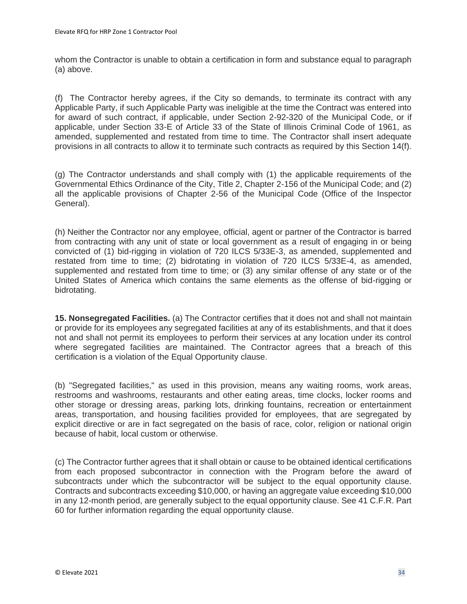whom the Contractor is unable to obtain a certification in form and substance equal to paragraph (a) above.

(f) The Contractor hereby agrees, if the City so demands, to terminate its contract with any Applicable Party, if such Applicable Party was ineligible at the time the Contract was entered into for award of such contract, if applicable, under Section 2-92-320 of the Municipal Code, or if applicable, under Section 33-E of Article 33 of the State of Illinois Criminal Code of 1961, as amended, supplemented and restated from time to time. The Contractor shall insert adequate provisions in all contracts to allow it to terminate such contracts as required by this Section 14(f).

(g) The Contractor understands and shall comply with (1) the applicable requirements of the Governmental Ethics Ordinance of the City, Title 2, Chapter 2-156 of the Municipal Code; and (2) all the applicable provisions of Chapter 2-56 of the Municipal Code (Office of the Inspector General).

(h) Neither the Contractor nor any employee, official, agent or partner of the Contractor is barred from contracting with any unit of state or local government as a result of engaging in or being convicted of (1) bid-rigging in violation of 720 ILCS 5/33E-3, as amended, supplemented and restated from time to time; (2) bidrotating in violation of 720 ILCS 5/33E-4, as amended, supplemented and restated from time to time; or (3) any similar offense of any state or of the United States of America which contains the same elements as the offense of bid-rigging or bidrotating.

**15. Nonsegregated Facilities.** (a) The Contractor certifies that it does not and shall not maintain or provide for its employees any segregated facilities at any of its establishments, and that it does not and shall not permit its employees to perform their services at any location under its control where segregated facilities are maintained. The Contractor agrees that a breach of this certification is a violation of the Equal Opportunity clause.

(b) "Segregated facilities," as used in this provision, means any waiting rooms, work areas, restrooms and washrooms, restaurants and other eating areas, time clocks, locker rooms and other storage or dressing areas, parking lots, drinking fountains, recreation or entertainment areas, transportation, and housing facilities provided for employees, that are segregated by explicit directive or are in fact segregated on the basis of race, color, religion or national origin because of habit, local custom or otherwise.

(c) The Contractor further agrees that it shall obtain or cause to be obtained identical certifications from each proposed subcontractor in connection with the Program before the award of subcontracts under which the subcontractor will be subject to the equal opportunity clause. Contracts and subcontracts exceeding \$10,000, or having an aggregate value exceeding \$10,000 in any 12-month period, are generally subject to the equal opportunity clause. See 41 C.F.R. Part 60 for further information regarding the equal opportunity clause.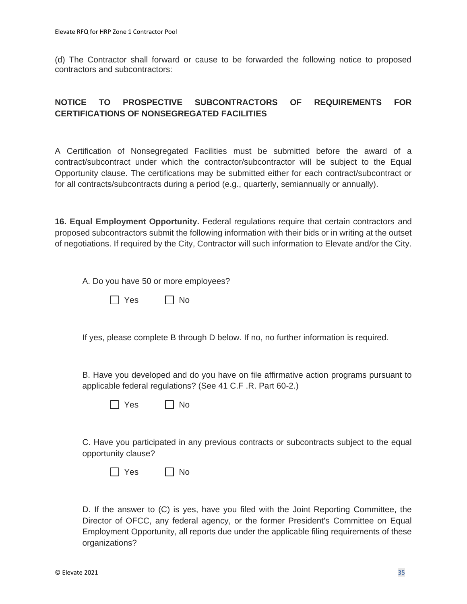(d) The Contractor shall forward or cause to be forwarded the following notice to proposed contractors and subcontractors:

# **NOTICE TO PROSPECTIVE SUBCONTRACTORS OF REQUIREMENTS FOR CERTIFICATIONS OF NONSEGREGATED FACILITIES**

A Certification of Nonsegregated Facilities must be submitted before the award of a contract/subcontract under which the contractor/subcontractor will be subject to the Equal Opportunity clause. The certifications may be submitted either for each contract/subcontract or for all contracts/subcontracts during a period (e.g., quarterly, semiannually or annually).

**16. Equal Employment Opportunity.** Federal regulations require that certain contractors and proposed subcontractors submit the following information with their bids or in writing at the outset of negotiations. If required by the City, Contractor will such information to Elevate and/or the City.

A. Do you have 50 or more employees?

| Yes | No |
|-----|----|
|-----|----|

If yes, please complete B through D below. If no, no further information is required.

B. Have you developed and do you have on file affirmative action programs pursuant to applicable federal regulations? (See 41 C.F .R. Part 60-2.)

| AS | Nο |
|----|----|
|----|----|

C. Have you participated in any previous contracts or subcontracts subject to the equal opportunity clause?

| es. | No |
|-----|----|
|-----|----|

D. If the answer to (C) is yes, have you filed with the Joint Reporting Committee, the Director of OFCC, any federal agency, or the former President's Committee on Equal Employment Opportunity, all reports due under the applicable filing requirements of these organizations?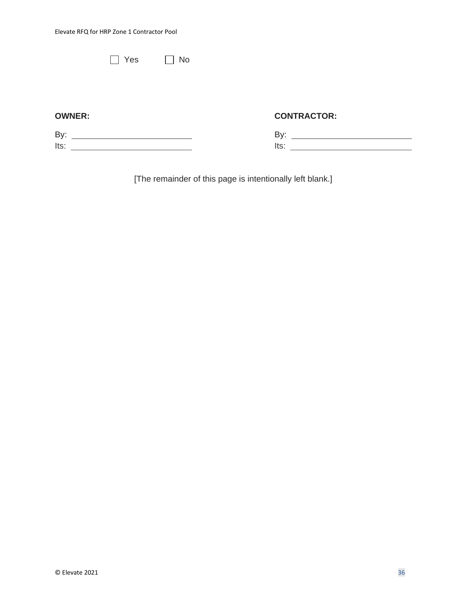|               | Yes | No<br>I. |                                                                                                                              |
|---------------|-----|----------|------------------------------------------------------------------------------------------------------------------------------|
|               |     |          |                                                                                                                              |
|               |     |          |                                                                                                                              |
|               |     |          |                                                                                                                              |
| <b>OWNER:</b> |     |          | <b>CONTRACTOR:</b>                                                                                                           |
| By:           |     |          | By:<br><u> 1989 - Johann Harry Harry Harry Harry Harry Harry Harry Harry Harry Harry Harry Harry Harry Harry Harry Harry</u> |
| Its:          |     |          | Its:                                                                                                                         |

[The remainder of this page is intentionally left blank.]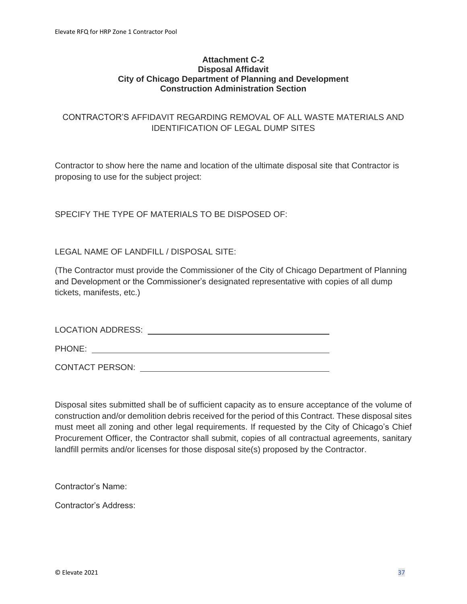#### **Attachment C-2 Disposal Affidavit City of Chicago Department of Planning and Development Construction Administration Section**

### CONTRACTOR'S AFFIDAVIT REGARDING REMOVAL OF ALL WASTE MATERIALS AND IDENTIFICATION OF LEGAL DUMP SITES

Contractor to show here the name and location of the ultimate disposal site that Contractor is proposing to use for the subject project:

SPECIFY THE TYPE OF MATERIALS TO BE DISPOSED OF:

LEGAL NAME OF LANDFILL / DISPOSAL SITE:

(The Contractor must provide the Commissioner of the City of Chicago Department of Planning and Development or the Commissioner's designated representative with copies of all dump tickets, manifests, etc.)

LOCATION ADDRESS: LOCATION AND RESIDENCE AND RESIDENCE AND RESIDENCE AND RESIDENCE AND RESIDENCE AND RESIDENCE AND RESIDENCE AND RESIDENCE AND RESIDENCE AND RESIDENCE AND RESIDENCE AND RESIDENCE AND RESIDENCE AND RESIDENCE

PHONE:

CONTACT PERSON:

Disposal sites submitted shall be of sufficient capacity as to ensure acceptance of the volume of construction and/or demolition debris received for the period of this Contract. These disposal sites must meet all zoning and other legal requirements. If requested by the City of Chicago's Chief Procurement Officer, the Contractor shall submit, copies of all contractual agreements, sanitary landfill permits and/or licenses for those disposal site(s) proposed by the Contractor.

Contractor's Name:

Contractor's Address: